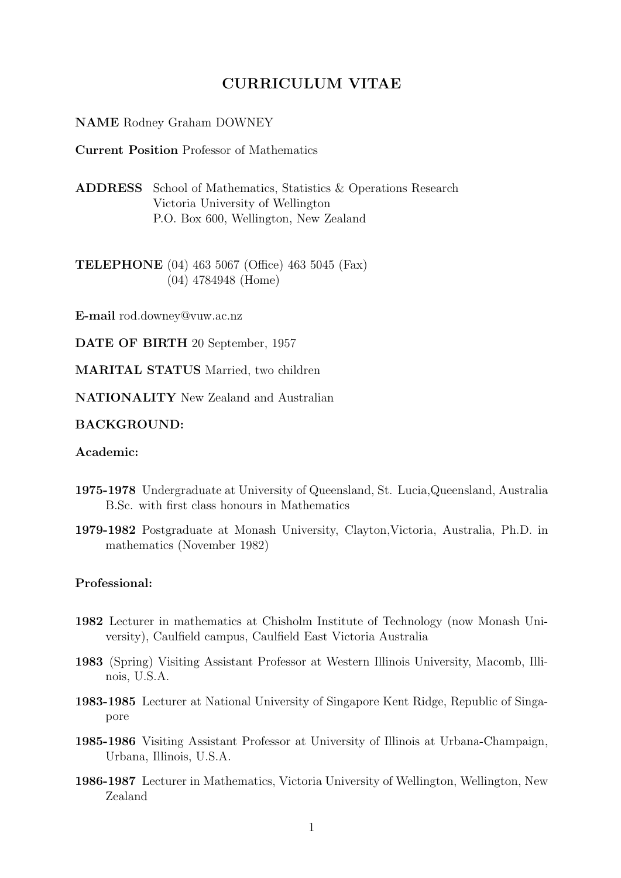# CURRICULUM VITAE

#### NAME Rodney Graham DOWNEY

Current Position Professor of Mathematics

ADDRESS School of Mathematics, Statistics & Operations Research Victoria University of Wellington P.O. Box 600, Wellington, New Zealand

TELEPHONE (04) 463 5067 (Office) 463 5045 (Fax) (04) 4784948 (Home)

E-mail rod.downey@vuw.ac.nz

DATE OF BIRTH 20 September, 1957

MARITAL STATUS Married, two children

NATIONALITY New Zealand and Australian

#### BACKGROUND:

#### Academic:

- 1975-1978 Undergraduate at University of Queensland, St. Lucia,Queensland, Australia B.Sc. with first class honours in Mathematics
- 1979-1982 Postgraduate at Monash University, Clayton,Victoria, Australia, Ph.D. in mathematics (November 1982)

#### Professional:

- 1982 Lecturer in mathematics at Chisholm Institute of Technology (now Monash University), Caulfield campus, Caulfield East Victoria Australia
- 1983 (Spring) Visiting Assistant Professor at Western Illinois University, Macomb, Illinois, U.S.A.
- 1983-1985 Lecturer at National University of Singapore Kent Ridge, Republic of Singapore
- 1985-1986 Visiting Assistant Professor at University of Illinois at Urbana-Champaign, Urbana, Illinois, U.S.A.
- 1986-1987 Lecturer in Mathematics, Victoria University of Wellington, Wellington, New Zealand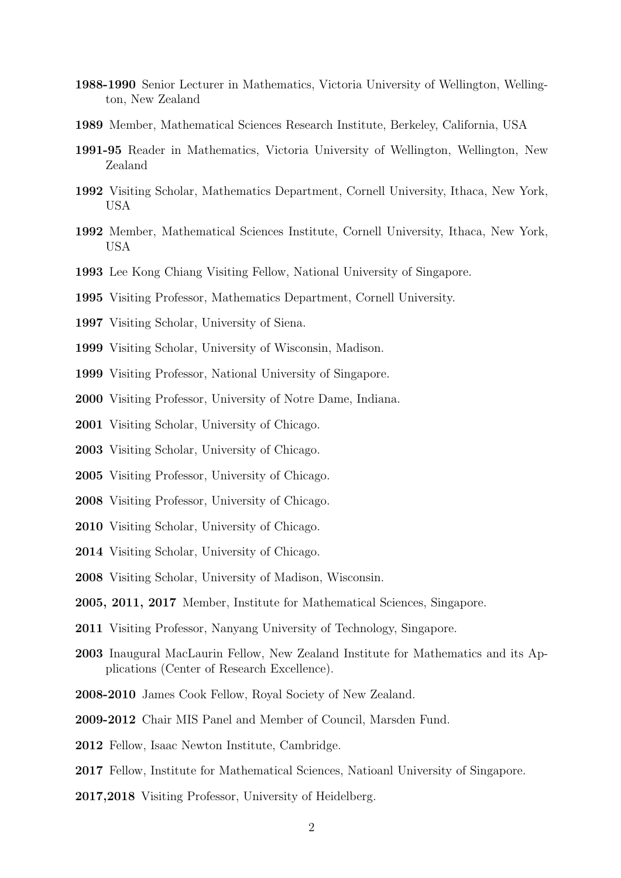- 1988-1990 Senior Lecturer in Mathematics, Victoria University of Wellington, Wellington, New Zealand
- Member, Mathematical Sciences Research Institute, Berkeley, California, USA
- 1991-95 Reader in Mathematics, Victoria University of Wellington, Wellington, New Zealand
- Visiting Scholar, Mathematics Department, Cornell University, Ithaca, New York, USA
- Member, Mathematical Sciences Institute, Cornell University, Ithaca, New York, USA
- Lee Kong Chiang Visiting Fellow, National University of Singapore.
- Visiting Professor, Mathematics Department, Cornell University.
- Visiting Scholar, University of Siena.
- Visiting Scholar, University of Wisconsin, Madison.
- Visiting Professor, National University of Singapore.
- Visiting Professor, University of Notre Dame, Indiana.
- Visiting Scholar, University of Chicago.
- Visiting Scholar, University of Chicago.
- Visiting Professor, University of Chicago.
- Visiting Professor, University of Chicago.
- Visiting Scholar, University of Chicago.
- Visiting Scholar, University of Chicago.
- Visiting Scholar, University of Madison, Wisconsin.
- 2005, 2011, 2017 Member, Institute for Mathematical Sciences, Singapore.
- Visiting Professor, Nanyang University of Technology, Singapore.
- Inaugural MacLaurin Fellow, New Zealand Institute for Mathematics and its Applications (Center of Research Excellence).
- 2008-2010 James Cook Fellow, Royal Society of New Zealand.
- 2009-2012 Chair MIS Panel and Member of Council, Marsden Fund.
- Fellow, Isaac Newton Institute, Cambridge.
- Fellow, Institute for Mathematical Sciences, Natioanl University of Singapore.
- 2017,2018 Visiting Professor, University of Heidelberg.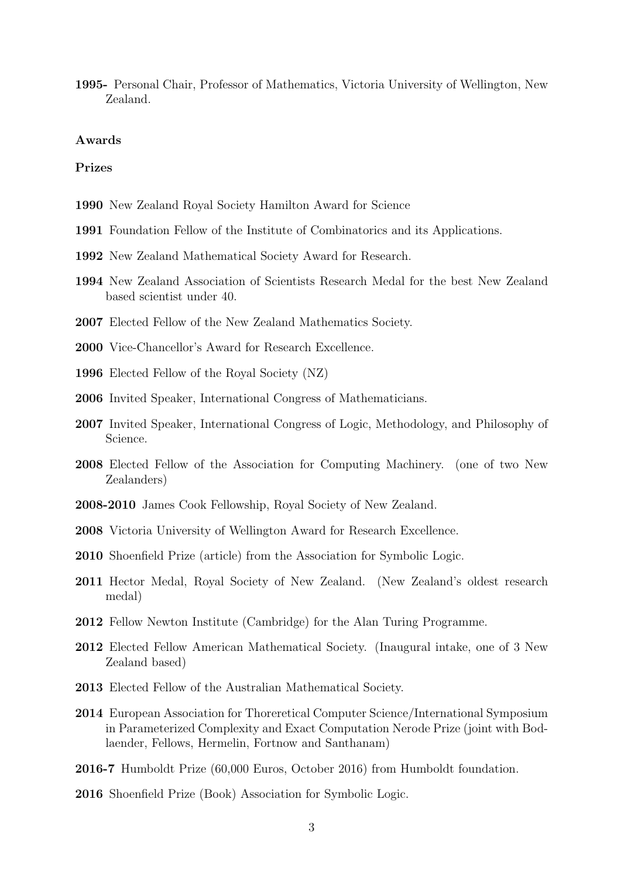1995- Personal Chair, Professor of Mathematics, Victoria University of Wellington, New Zealand.

#### Awards

#### Prizes

- 1990 New Zealand Royal Society Hamilton Award for Science
- 1991 Foundation Fellow of the Institute of Combinatorics and its Applications.
- 1992 New Zealand Mathematical Society Award for Research.
- 1994 New Zealand Association of Scientists Research Medal for the best New Zealand based scientist under 40.
- 2007 Elected Fellow of the New Zealand Mathematics Society.
- 2000 Vice-Chancellor's Award for Research Excellence.
- 1996 Elected Fellow of the Royal Society (NZ)
- 2006 Invited Speaker, International Congress of Mathematicians.
- 2007 Invited Speaker, International Congress of Logic, Methodology, and Philosophy of Science.
- 2008 Elected Fellow of the Association for Computing Machinery. (one of two New Zealanders)
- 2008-2010 James Cook Fellowship, Royal Society of New Zealand.
- 2008 Victoria University of Wellington Award for Research Excellence.
- 2010 Shoenfield Prize (article) from the Association for Symbolic Logic.
- 2011 Hector Medal, Royal Society of New Zealand. (New Zealand's oldest research medal)
- 2012 Fellow Newton Institute (Cambridge) for the Alan Turing Programme.
- 2012 Elected Fellow American Mathematical Society. (Inaugural intake, one of 3 New Zealand based)
- 2013 Elected Fellow of the Australian Mathematical Society.
- 2014 European Association for Thoreretical Computer Science/International Symposium in Parameterized Complexity and Exact Computation Nerode Prize (joint with Bodlaender, Fellows, Hermelin, Fortnow and Santhanam)
- 2016-7 Humboldt Prize (60,000 Euros, October 2016) from Humboldt foundation.
- 2016 Shoenfield Prize (Book) Association for Symbolic Logic.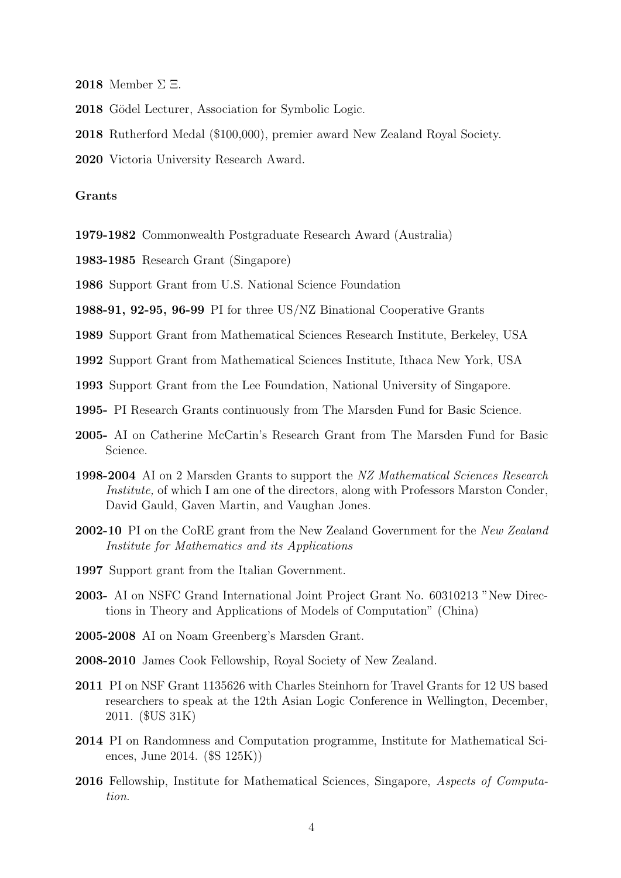- 2018 Member  $\Sigma \Xi$ .
- 2018 Gödel Lecturer, Association for Symbolic Logic.
- 2018 Rutherford Medal (\$100,000), premier award New Zealand Royal Society.
- 2020 Victoria University Research Award.

#### Grants

- 1979-1982 Commonwealth Postgraduate Research Award (Australia)
- 1983-1985 Research Grant (Singapore)

1986 Support Grant from U.S. National Science Foundation

1988-91, 92-95, 96-99 PI for three US/NZ Binational Cooperative Grants

- 1989 Support Grant from Mathematical Sciences Research Institute, Berkeley, USA
- 1992 Support Grant from Mathematical Sciences Institute, Ithaca New York, USA
- 1993 Support Grant from the Lee Foundation, National University of Singapore.
- 1995- PI Research Grants continuously from The Marsden Fund for Basic Science.
- 2005- AI on Catherine McCartin's Research Grant from The Marsden Fund for Basic Science.
- 1998-2004 AI on 2 Marsden Grants to support the NZ Mathematical Sciences Research Institute, of which I am one of the directors, along with Professors Marston Conder, David Gauld, Gaven Martin, and Vaughan Jones.
- 2002-10 PI on the CoRE grant from the New Zealand Government for the New Zealand Institute for Mathematics and its Applications
- 1997 Support grant from the Italian Government.
- 2003- AI on NSFC Grand International Joint Project Grant No. 60310213 "New Directions in Theory and Applications of Models of Computation" (China)
- 2005-2008 AI on Noam Greenberg's Marsden Grant.
- 2008-2010 James Cook Fellowship, Royal Society of New Zealand.
- 2011 PI on NSF Grant 1135626 with Charles Steinhorn for Travel Grants for 12 US based researchers to speak at the 12th Asian Logic Conference in Wellington, December, 2011. (\$US 31K)
- 2014 PI on Randomness and Computation programme, Institute for Mathematical Sciences, June 2014. (\$S 125K))
- 2016 Fellowship, Institute for Mathematical Sciences, Singapore, Aspects of Computation.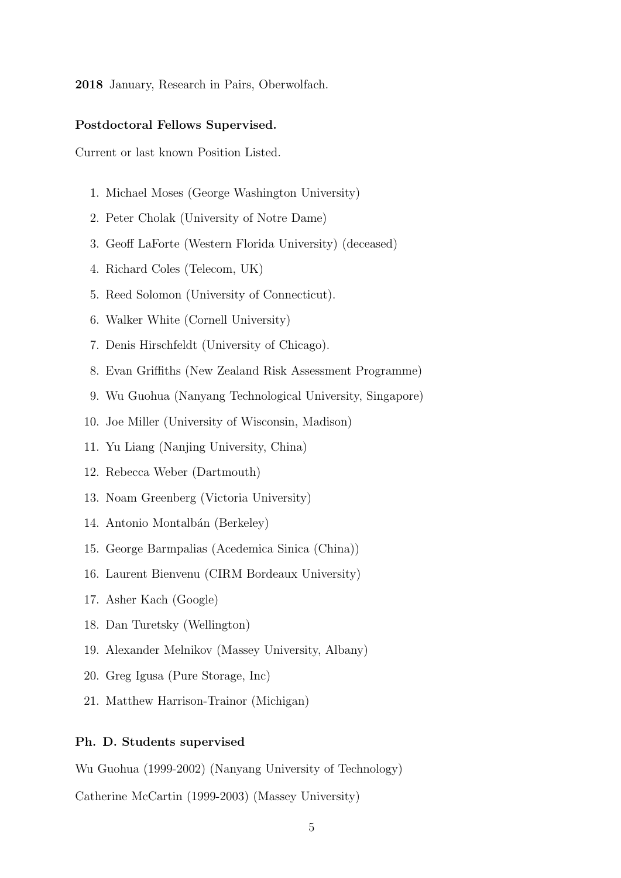2018 January, Research in Pairs, Oberwolfach.

#### Postdoctoral Fellows Supervised.

Current or last known Position Listed.

- 1. Michael Moses (George Washington University)
- 2. Peter Cholak (University of Notre Dame)
- 3. Geoff LaForte (Western Florida University) (deceased)
- 4. Richard Coles (Telecom, UK)
- 5. Reed Solomon (University of Connecticut).
- 6. Walker White (Cornell University)
- 7. Denis Hirschfeldt (University of Chicago).
- 8. Evan Griffiths (New Zealand Risk Assessment Programme)
- 9. Wu Guohua (Nanyang Technological University, Singapore)
- 10. Joe Miller (University of Wisconsin, Madison)
- 11. Yu Liang (Nanjing University, China)
- 12. Rebecca Weber (Dartmouth)
- 13. Noam Greenberg (Victoria University)
- 14. Antonio Montalbán (Berkeley)
- 15. George Barmpalias (Acedemica Sinica (China))
- 16. Laurent Bienvenu (CIRM Bordeaux University)
- 17. Asher Kach (Google)
- 18. Dan Turetsky (Wellington)
- 19. Alexander Melnikov (Massey University, Albany)
- 20. Greg Igusa (Pure Storage, Inc)
- 21. Matthew Harrison-Trainor (Michigan)

#### Ph. D. Students supervised

Wu Guohua (1999-2002) (Nanyang University of Technology)

Catherine McCartin (1999-2003) (Massey University)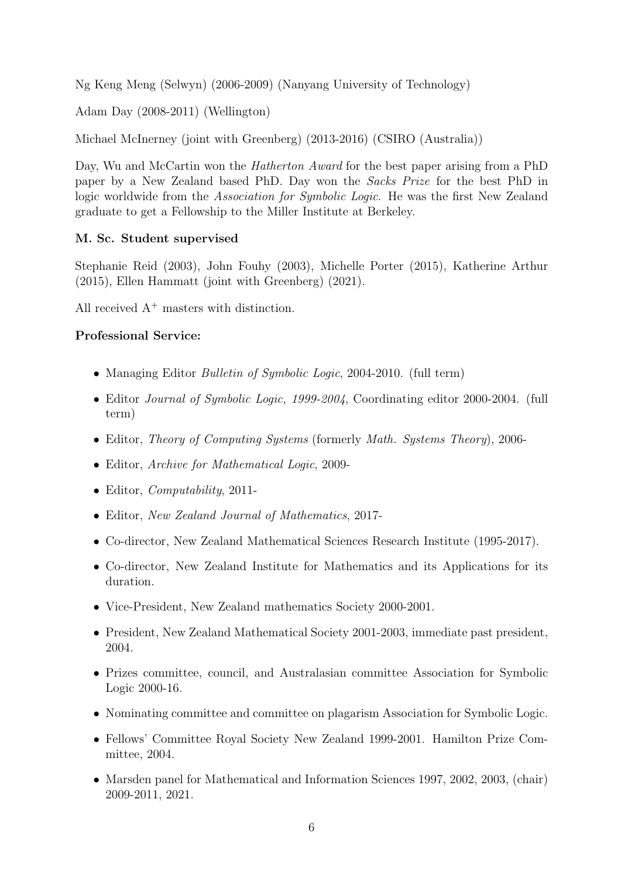Ng Keng Meng (Selwyn) (2006-2009) (Nanyang University of Technology)

Adam Day (2008-2011) (Wellington)

Michael McInerney (joint with Greenberg) (2013-2016) (CSIRO (Australia))

Day, Wu and McCartin won the *Hatherton Award* for the best paper arising from a PhD paper by a New Zealand based PhD. Day won the Sacks Prize for the best PhD in logic worldwide from the Association for Symbolic Logic. He was the first New Zealand graduate to get a Fellowship to the Miller Institute at Berkeley.

## M. Sc. Student supervised

Stephanie Reid (2003), John Fouhy (2003), Michelle Porter (2015), Katherine Arthur (2015), Ellen Hammatt (joint with Greenberg) (2021).

All received  $A^+$  masters with distinction.

## Professional Service:

- Managing Editor *Bulletin of Symbolic Logic*, 2004-2010. (full term)
- Editor *Journal of Symbolic Logic, 1999-2004*, Coordinating editor 2000-2004. (full term)
- Editor, Theory of Computing Systems (formerly Math. Systems Theory), 2006-
- Editor, *Archive for Mathematical Logic*, 2009-
- Editor, *Computability*, 2011-
- Editor, New Zealand Journal of Mathematics, 2017-
- Co-director, New Zealand Mathematical Sciences Research Institute (1995-2017).
- Co-director, New Zealand Institute for Mathematics and its Applications for its duration.
- Vice-President, New Zealand mathematics Society 2000-2001.
- President, New Zealand Mathematical Society 2001-2003, immediate past president, 2004.
- Prizes committee, council, and Australasian committee Association for Symbolic Logic 2000-16.
- Nominating committee and committee on plagarism Association for Symbolic Logic.
- Fellows' Committee Royal Society New Zealand 1999-2001. Hamilton Prize Committee, 2004.
- Marsden panel for Mathematical and Information Sciences 1997, 2002, 2003, (chair) 2009-2011, 2021.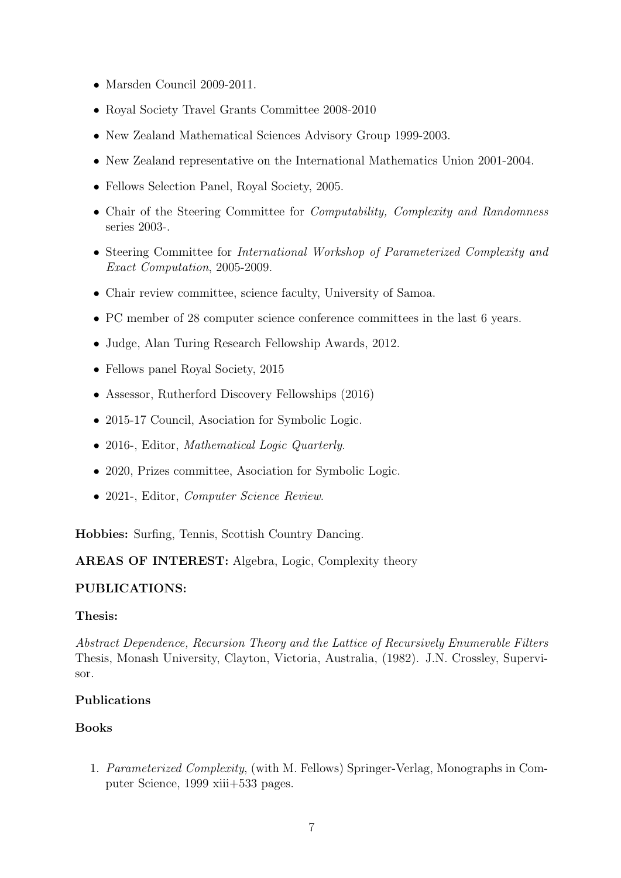- Marsden Council 2009-2011.
- Royal Society Travel Grants Committee 2008-2010
- New Zealand Mathematical Sciences Advisory Group 1999-2003.
- New Zealand representative on the International Mathematics Union 2001-2004.
- Fellows Selection Panel, Royal Society, 2005.
- Chair of the Steering Committee for *Computability, Complexity and Randomness* series 2003-.
- Steering Committee for International Workshop of Parameterized Complexity and Exact Computation, 2005-2009.
- Chair review committee, science faculty, University of Samoa.
- PC member of 28 computer science conference committees in the last 6 years.
- Judge, Alan Turing Research Fellowship Awards, 2012.
- Fellows panel Royal Society, 2015
- Assessor, Rutherford Discovery Fellowships (2016)
- 2015-17 Council, Asociation for Symbolic Logic.
- 2016-, Editor, Mathematical Logic Quarterly.
- 2020, Prizes committee, Asociation for Symbolic Logic.
- 2021-, Editor, *Computer Science Review*.

Hobbies: Surfing, Tennis, Scottish Country Dancing.

### AREAS OF INTEREST: Algebra, Logic, Complexity theory

### PUBLICATIONS:

### Thesis:

Abstract Dependence, Recursion Theory and the Lattice of Recursively Enumerable Filters Thesis, Monash University, Clayton, Victoria, Australia, (1982). J.N. Crossley, Supervisor.

### Publications

### Books

1. Parameterized Complexity, (with M. Fellows) Springer-Verlag, Monographs in Computer Science, 1999 xiii+533 pages.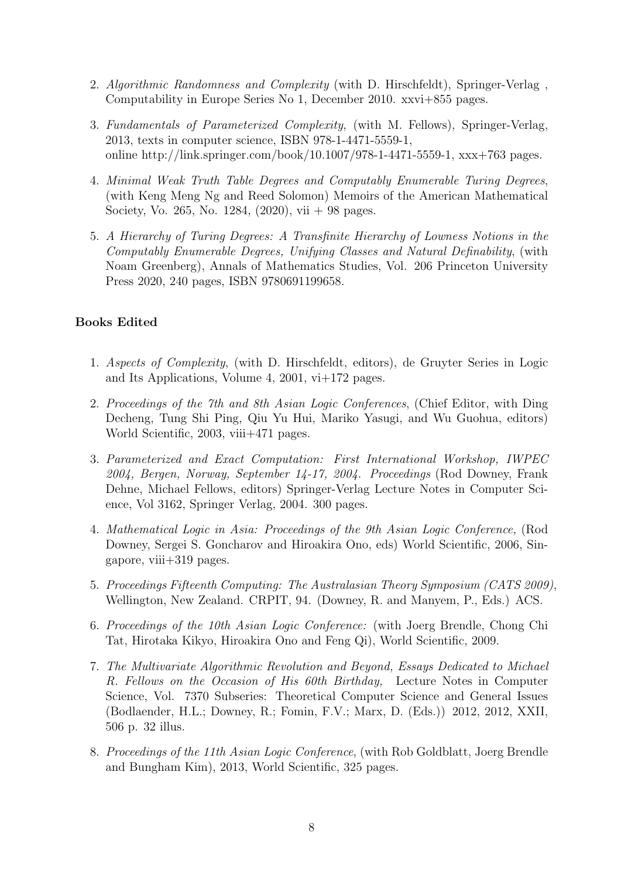- 2. Algorithmic Randomness and Complexity (with D. Hirschfeldt), Springer-Verlag , Computability in Europe Series No 1, December 2010. xxvi+855 pages.
- 3. Fundamentals of Parameterized Complexity, (with M. Fellows), Springer-Verlag, 2013, texts in computer science, ISBN 978-1-4471-5559-1, online http://link.springer.com/book/10.1007/978-1-4471-5559-1, xxx+763 pages.
- 4. Minimal Weak Truth Table Degrees and Computably Enumerable Turing Degrees, (with Keng Meng Ng and Reed Solomon) Memoirs of the American Mathematical Society, Vo. 265, No. 1284, (2020), vii + 98 pages.
- 5. A Hierarchy of Turing Degrees: A Transfinite Hierarchy of Lowness Notions in the Computably Enumerable Degrees, Unifying Classes and Natural Definability, (with Noam Greenberg), Annals of Mathematics Studies, Vol. 206 Princeton University Press 2020, 240 pages, ISBN 9780691199658.

## Books Edited

- 1. Aspects of Complexity, (with D. Hirschfeldt, editors), de Gruyter Series in Logic and Its Applications, Volume 4, 2001, vi+172 pages.
- 2. Proceedings of the 7th and 8th Asian Logic Conferences, (Chief Editor, with Ding Decheng, Tung Shi Ping, Qiu Yu Hui, Mariko Yasugi, and Wu Guohua, editors) World Scientific, 2003, viii+471 pages.
- 3. Parameterized and Exact Computation: First International Workshop, IWPEC 2004, Bergen, Norway, September 14-17, 2004. Proceedings (Rod Downey, Frank Dehne, Michael Fellows, editors) Springer-Verlag Lecture Notes in Computer Science, Vol 3162, Springer Verlag, 2004. 300 pages.
- 4. Mathematical Logic in Asia: Proceedings of the 9th Asian Logic Conference, (Rod Downey, Sergei S. Goncharov and Hiroakira Ono, eds) World Scientific, 2006, Singapore, viii+319 pages.
- 5. Proceedings Fifteenth Computing: The Australasian Theory Symposium (CATS 2009), Wellington, New Zealand. CRPIT, 94. (Downey, R. and Manyem, P., Eds.) ACS.
- 6. Proceedings of the 10th Asian Logic Conference: (with Joerg Brendle, Chong Chi Tat, Hirotaka Kikyo, Hiroakira Ono and Feng Qi), World Scientific, 2009.
- 7. The Multivariate Algorithmic Revolution and Beyond, Essays Dedicated to Michael R. Fellows on the Occasion of His 60th Birthday, Lecture Notes in Computer Science, Vol. 7370 Subseries: Theoretical Computer Science and General Issues (Bodlaender, H.L.; Downey, R.; Fomin, F.V.; Marx, D. (Eds.)) 2012, 2012, XXII, 506 p. 32 illus.
- 8. Proceedings of the 11th Asian Logic Conference, (with Rob Goldblatt, Joerg Brendle and Bungham Kim), 2013, World Scientific, 325 pages.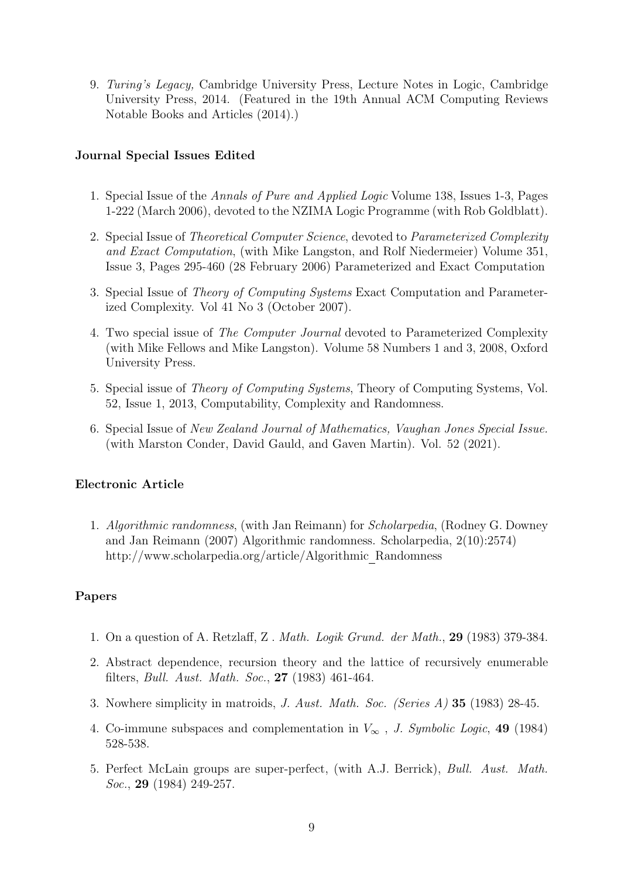9. Turing's Legacy, Cambridge University Press, Lecture Notes in Logic, Cambridge University Press, 2014. (Featured in the 19th Annual ACM Computing Reviews Notable Books and Articles (2014).)

# Journal Special Issues Edited

- 1. Special Issue of the Annals of Pure and Applied Logic Volume 138, Issues 1-3, Pages 1-222 (March 2006), devoted to the NZIMA Logic Programme (with Rob Goldblatt).
- 2. Special Issue of Theoretical Computer Science, devoted to Parameterized Complexity and Exact Computation, (with Mike Langston, and Rolf Niedermeier) Volume 351, Issue 3, Pages 295-460 (28 February 2006) Parameterized and Exact Computation
- 3. Special Issue of Theory of Computing Systems Exact Computation and Parameterized Complexity. Vol 41 No 3 (October 2007).
- 4. Two special issue of The Computer Journal devoted to Parameterized Complexity (with Mike Fellows and Mike Langston). Volume 58 Numbers 1 and 3, 2008, Oxford University Press.
- 5. Special issue of Theory of Computing Systems, Theory of Computing Systems, Vol. 52, Issue 1, 2013, Computability, Complexity and Randomness.
- 6. Special Issue of New Zealand Journal of Mathematics, Vaughan Jones Special Issue. (with Marston Conder, David Gauld, and Gaven Martin). Vol. 52 (2021).

### Electronic Article

1. Algorithmic randomness, (with Jan Reimann) for Scholarpedia, (Rodney G. Downey and Jan Reimann (2007) Algorithmic randomness. Scholarpedia, 2(10):2574) http://www.scholarpedia.org/article/Algorithmic Randomness

### Papers

- 1. On a question of A. Retzlaff, Z . Math. Logik Grund. der Math., 29 (1983) 379-384.
- 2. Abstract dependence, recursion theory and the lattice of recursively enumerable filters, Bull. Aust. Math. Soc., 27 (1983) 461-464.
- 3. Nowhere simplicity in matroids, J. Aust. Math. Soc. (Series A) 35 (1983) 28-45.
- 4. Co-immune subspaces and complementation in  $V_{\infty}$ , J. Symbolic Logic, 49 (1984) 528-538.
- 5. Perfect McLain groups are super-perfect, (with A.J. Berrick), Bull. Aust. Math. Soc., **29** (1984) 249-257.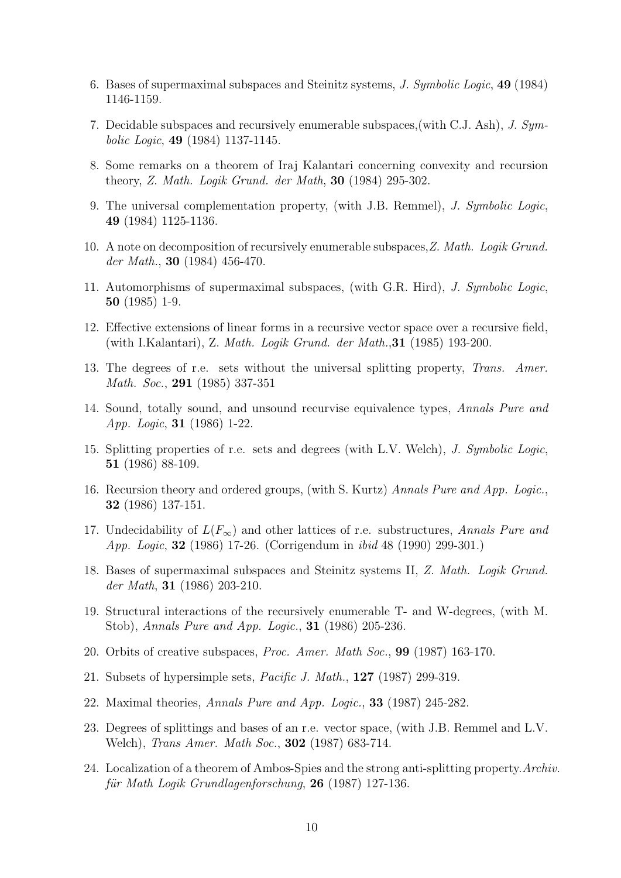- 6. Bases of supermaximal subspaces and Steinitz systems, J. Symbolic Logic, 49 (1984) 1146-1159.
- 7. Decidable subspaces and recursively enumerable subspaces,(with C.J. Ash), J. Symbolic Logic, 49 (1984) 1137-1145.
- 8. Some remarks on a theorem of Iraj Kalantari concerning convexity and recursion theory, Z. Math. Logik Grund. der Math, 30 (1984) 295-302.
- 9. The universal complementation property, (with J.B. Remmel), J. Symbolic Logic, 49 (1984) 1125-1136.
- 10. A note on decomposition of recursively enumerable subspaces,Z. Math. Logik Grund. der Math., 30 (1984) 456-470.
- 11. Automorphisms of supermaximal subspaces, (with G.R. Hird), J. Symbolic Logic, 50 (1985) 1-9.
- 12. Effective extensions of linear forms in a recursive vector space over a recursive field, (with I.Kalantari), Z. Math. Logik Grund. der Math.,31 (1985) 193-200.
- 13. The degrees of r.e. sets without the universal splitting property, Trans. Amer. Math. Soc., 291 (1985) 337-351
- 14. Sound, totally sound, and unsound recurvise equivalence types, Annals Pure and App. Logic, 31 (1986) 1-22.
- 15. Splitting properties of r.e. sets and degrees (with L.V. Welch), J. Symbolic Logic, 51 (1986) 88-109.
- 16. Recursion theory and ordered groups, (with S. Kurtz) Annals Pure and App. Logic., 32 (1986) 137-151.
- 17. Undecidability of  $L(F_{\infty})$  and other lattices of r.e. substructures, Annals Pure and App. Logic, 32 (1986) 17-26. (Corrigendum in ibid 48 (1990) 299-301.)
- 18. Bases of supermaximal subspaces and Steinitz systems II, Z. Math. Logik Grund. der Math, 31 (1986) 203-210.
- 19. Structural interactions of the recursively enumerable T- and W-degrees, (with M. Stob), Annals Pure and App. Logic., 31 (1986) 205-236.
- 20. Orbits of creative subspaces, Proc. Amer. Math Soc., 99 (1987) 163-170.
- 21. Subsets of hypersimple sets, Pacific J. Math., 127 (1987) 299-319.
- 22. Maximal theories, Annals Pure and App. Logic., 33 (1987) 245-282.
- 23. Degrees of splittings and bases of an r.e. vector space, (with J.B. Remmel and L.V. Welch), *Trans Amer. Math Soc.*, **302** (1987) 683-714.
- 24. Localization of a theorem of Ambos-Spies and the strong anti-splitting property.Archiv. für Math Logik Grundlagenforschung,  $26$  (1987) 127-136.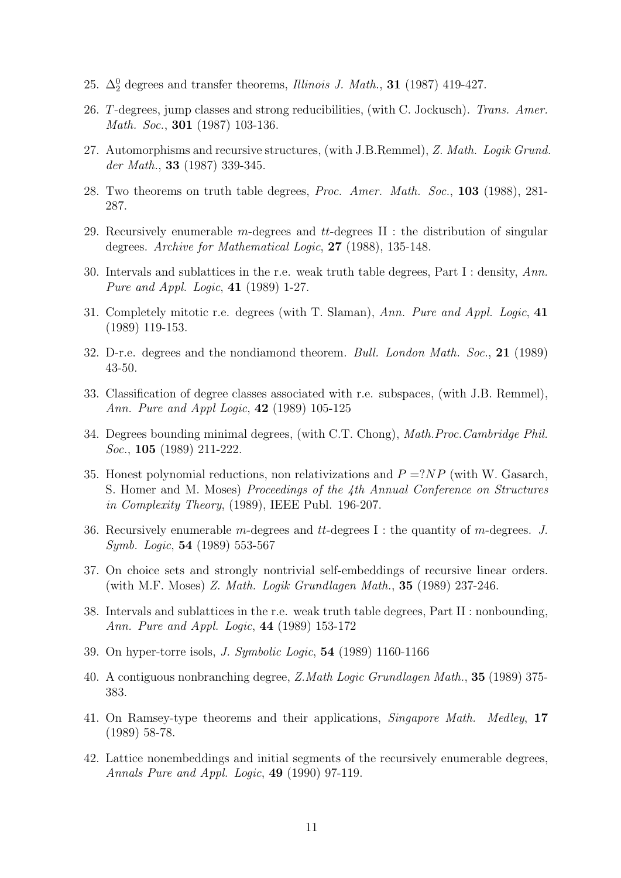- 25.  $\Delta_2^0$  degrees and transfer theorems, *Illinois J. Math.*, **31** (1987) 419-427.
- 26. T-degrees, jump classes and strong reducibilities, (with C. Jockusch). Trans. Amer. Math. Soc., **301** (1987) 103-136.
- 27. Automorphisms and recursive structures, (with J.B.Remmel), Z. Math. Logik Grund. der Math., 33 (1987) 339-345.
- 28. Two theorems on truth table degrees, Proc. Amer. Math. Soc., 103 (1988), 281- 287.
- 29. Recursively enumerable m-degrees and  $tt$ -degrees II : the distribution of singular degrees. Archive for Mathematical Logic, 27 (1988), 135-148.
- 30. Intervals and sublattices in the r.e. weak truth table degrees, Part I : density, Ann. Pure and Appl. Logic, 41 (1989) 1-27.
- 31. Completely mitotic r.e. degrees (with T. Slaman), Ann. Pure and Appl. Logic, 41 (1989) 119-153.
- 32. D-r.e. degrees and the nondiamond theorem. Bull. London Math. Soc., 21 (1989) 43-50.
- 33. Classification of degree classes associated with r.e. subspaces, (with J.B. Remmel), Ann. Pure and Appl Logic, 42 (1989) 105-125
- 34. Degrees bounding minimal degrees, (with C.T. Chong), Math.Proc.Cambridge Phil. Soc., **105** (1989) 211-222.
- 35. Honest polynomial reductions, non relativizations and  $P = ?NP$  (with W. Gasarch, S. Homer and M. Moses) Proceedings of the 4th Annual Conference on Structures in Complexity Theory, (1989), IEEE Publ. 196-207.
- 36. Recursively enumerable m-degrees and tt-degrees I : the quantity of m-degrees. J. Symb. Logic, 54 (1989) 553-567
- 37. On choice sets and strongly nontrivial self-embeddings of recursive linear orders. (with M.F. Moses) Z. Math. Logik Grundlagen Math., 35 (1989) 237-246.
- 38. Intervals and sublattices in the r.e. weak truth table degrees, Part II : nonbounding, Ann. Pure and Appl. Logic, 44 (1989) 153-172
- 39. On hyper-torre isols, J. Symbolic Logic, 54 (1989) 1160-1166
- 40. A contiguous nonbranching degree, Z.Math Logic Grundlagen Math., 35 (1989) 375- 383.
- 41. On Ramsey-type theorems and their applications, Singapore Math. Medley, 17 (1989) 58-78.
- 42. Lattice nonembeddings and initial segments of the recursively enumerable degrees, Annals Pure and Appl. Logic, 49 (1990) 97-119.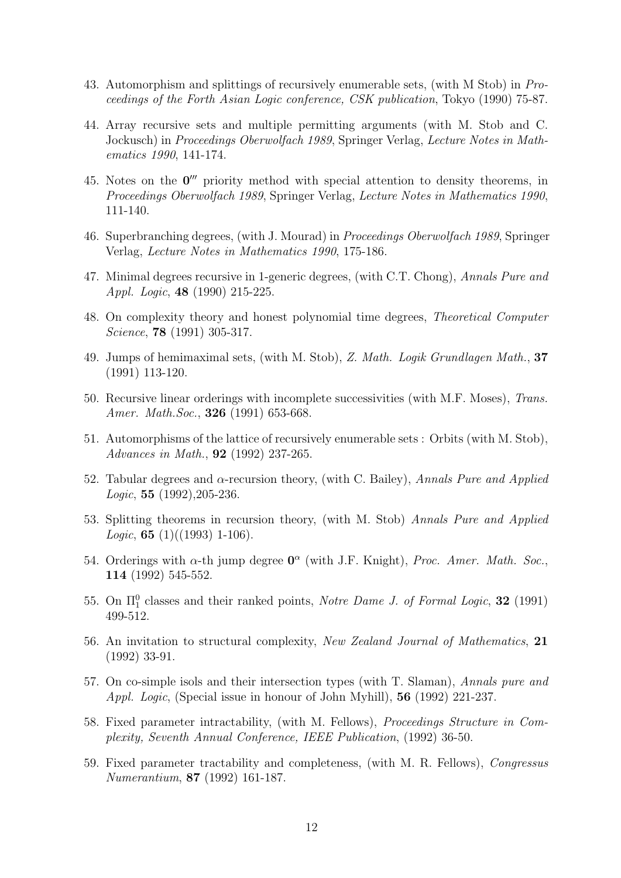- 43. Automorphism and splittings of recursively enumerable sets, (with M Stob) in Proceedings of the Forth Asian Logic conference, CSK publication, Tokyo (1990) 75-87.
- 44. Array recursive sets and multiple permitting arguments (with M. Stob and C. Jockusch) in Proceedings Oberwolfach 1989, Springer Verlag, Lecture Notes in Mathematics 1990, 141-174.
- 45. Notes on the  $0'''$  priority method with special attention to density theorems, in Proceedings Oberwolfach 1989, Springer Verlag, Lecture Notes in Mathematics 1990, 111-140.
- 46. Superbranching degrees, (with J. Mourad) in Proceedings Oberwolfach 1989, Springer Verlag, Lecture Notes in Mathematics 1990, 175-186.
- 47. Minimal degrees recursive in 1-generic degrees, (with C.T. Chong), Annals Pure and Appl. Logic, 48 (1990) 215-225.
- 48. On complexity theory and honest polynomial time degrees, Theoretical Computer Science, 78 (1991) 305-317.
- 49. Jumps of hemimaximal sets, (with M. Stob), Z. Math. Logik Grundlagen Math., 37 (1991) 113-120.
- 50. Recursive linear orderings with incomplete successivities (with M.F. Moses), Trans. Amer. Math. Soc., **326** (1991) 653-668.
- 51. Automorphisms of the lattice of recursively enumerable sets : Orbits (with M. Stob), Advances in Math., 92 (1992) 237-265.
- 52. Tabular degrees and  $\alpha$ -recursion theory, (with C. Bailey), Annals Pure and Applied *Logic*, **55**  $(1992)$ ,  $205-236$ .
- 53. Splitting theorems in recursion theory, (with M. Stob) Annals Pure and Applied *Logic*, **65** (1)((1993) 1-106).
- 54. Orderings with  $\alpha$ -th jump degree  $\mathbf{0}^{\alpha}$  (with J.F. Knight), Proc. Amer. Math. Soc., 114 (1992) 545-552.
- 55. On  $\Pi_1^0$  classes and their ranked points, *Notre Dame J. of Formal Logic*, **32** (1991) 499-512.
- 56. An invitation to structural complexity, New Zealand Journal of Mathematics, 21 (1992) 33-91.
- 57. On co-simple isols and their intersection types (with T. Slaman), Annals pure and Appl. Logic, (Special issue in honour of John Myhill), 56 (1992) 221-237.
- 58. Fixed parameter intractability, (with M. Fellows), Proceedings Structure in Complexity, Seventh Annual Conference, IEEE Publication, (1992) 36-50.
- 59. Fixed parameter tractability and completeness, (with M. R. Fellows), Congressus Numerantium, 87 (1992) 161-187.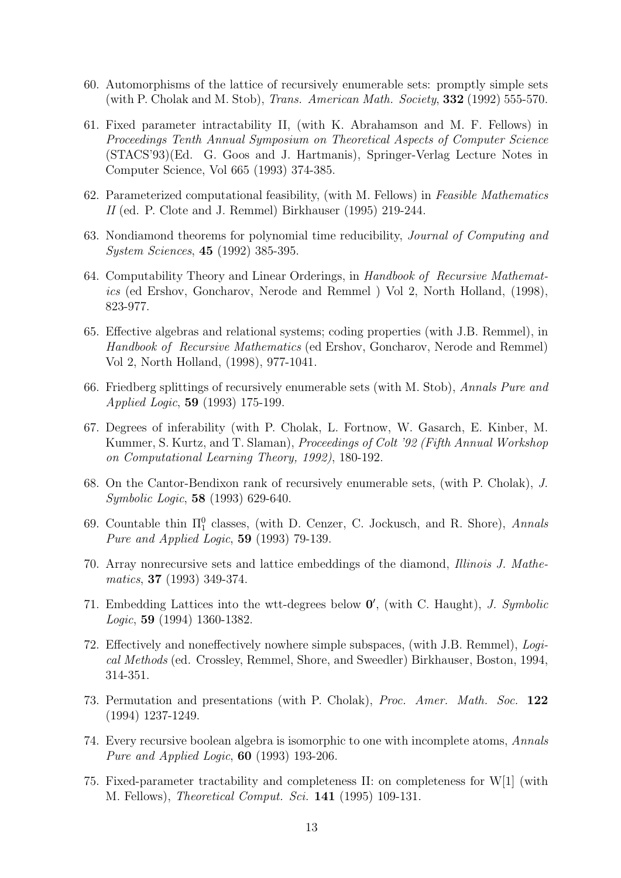- 60. Automorphisms of the lattice of recursively enumerable sets: promptly simple sets (with P. Cholak and M. Stob), Trans. American Math. Society, 332 (1992) 555-570.
- 61. Fixed parameter intractability II, (with K. Abrahamson and M. F. Fellows) in Proceedings Tenth Annual Symposium on Theoretical Aspects of Computer Science (STACS'93)(Ed. G. Goos and J. Hartmanis), Springer-Verlag Lecture Notes in Computer Science, Vol 665 (1993) 374-385.
- 62. Parameterized computational feasibility, (with M. Fellows) in Feasible Mathematics II (ed. P. Clote and J. Remmel) Birkhauser (1995) 219-244.
- 63. Nondiamond theorems for polynomial time reducibility, Journal of Computing and System Sciences, 45 (1992) 385-395.
- 64. Computability Theory and Linear Orderings, in Handbook of Recursive Mathematics (ed Ershov, Goncharov, Nerode and Remmel ) Vol 2, North Holland, (1998), 823-977.
- 65. Effective algebras and relational systems; coding properties (with J.B. Remmel), in Handbook of Recursive Mathematics (ed Ershov, Goncharov, Nerode and Remmel) Vol 2, North Holland, (1998), 977-1041.
- 66. Friedberg splittings of recursively enumerable sets (with M. Stob), Annals Pure and Applied Logic, 59 (1993) 175-199.
- 67. Degrees of inferability (with P. Cholak, L. Fortnow, W. Gasarch, E. Kinber, M. Kummer, S. Kurtz, and T. Slaman), Proceedings of Colt '92 (Fifth Annual Workshop on Computational Learning Theory, 1992), 180-192.
- 68. On the Cantor-Bendixon rank of recursively enumerable sets, (with P. Cholak), J. Symbolic Logic, 58 (1993) 629-640.
- 69. Countable thin  $\Pi_1^0$  classes, (with D. Cenzer, C. Jockusch, and R. Shore), Annals Pure and Applied Logic, 59 (1993) 79-139.
- 70. Array nonrecursive sets and lattice embeddings of the diamond, Illinois J. Mathematics, 37 (1993) 349-374.
- 71. Embedding Lattices into the wtt-degrees below  $0'$ , (with C. Haught), J. Symbolic Logic, 59 (1994) 1360-1382.
- 72. Effectively and noneffectively nowhere simple subspaces, (with J.B. Remmel), Logical Methods (ed. Crossley, Remmel, Shore, and Sweedler) Birkhauser, Boston, 1994, 314-351.
- 73. Permutation and presentations (with P. Cholak), Proc. Amer. Math. Soc. 122 (1994) 1237-1249.
- 74. Every recursive boolean algebra is isomorphic to one with incomplete atoms, Annals Pure and Applied Logic, 60 (1993) 193-206.
- 75. Fixed-parameter tractability and completeness II: on completeness for W[1] (with M. Fellows), Theoretical Comput. Sci. 141 (1995) 109-131.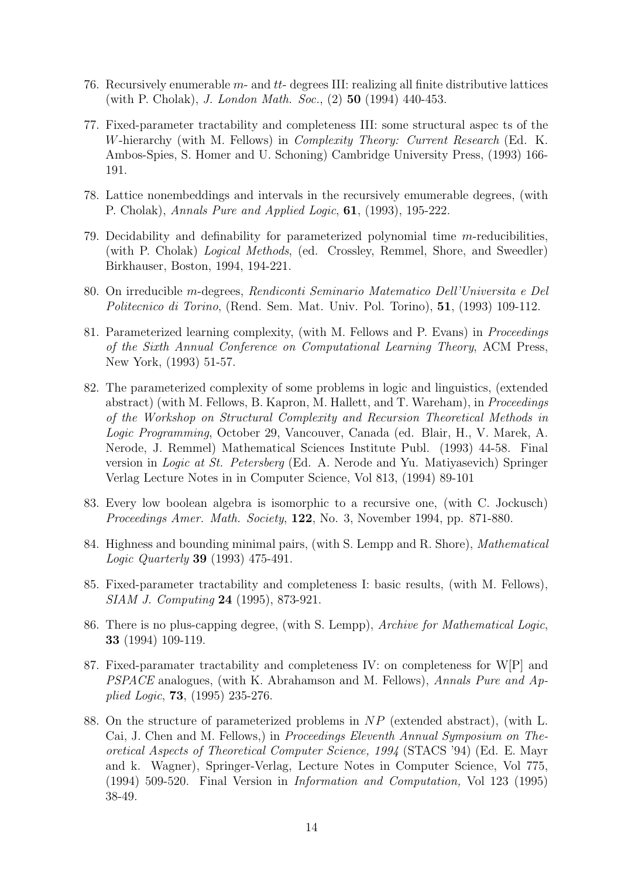- 76. Recursively enumerable  $m$  and  $tt$  degrees III: realizing all finite distributive lattices (with P. Cholak), J. London Math. Soc., (2) 50 (1994) 440-453.
- 77. Fixed-parameter tractability and completeness III: some structural aspec ts of the W-hierarchy (with M. Fellows) in Complexity Theory: Current Research (Ed. K. Ambos-Spies, S. Homer and U. Schoning) Cambridge University Press, (1993) 166- 191.
- 78. Lattice nonembeddings and intervals in the recursively emumerable degrees, (with P. Cholak), Annals Pure and Applied Logic, 61, (1993), 195-222.
- 79. Decidability and definability for parameterized polynomial time m-reducibilities, (with P. Cholak) Logical Methods, (ed. Crossley, Remmel, Shore, and Sweedler) Birkhauser, Boston, 1994, 194-221.
- 80. On irreducible m-degrees, Rendiconti Seminario Matematico Dell'Universita e Del Politecnico di Torino, (Rend. Sem. Mat. Univ. Pol. Torino), 51, (1993) 109-112.
- 81. Parameterized learning complexity, (with M. Fellows and P. Evans) in Proceedings of the Sixth Annual Conference on Computational Learning Theory, ACM Press, New York, (1993) 51-57.
- 82. The parameterized complexity of some problems in logic and linguistics, (extended abstract) (with M. Fellows, B. Kapron, M. Hallett, and T. Wareham), in Proceedings of the Workshop on Structural Complexity and Recursion Theoretical Methods in Logic Programming, October 29, Vancouver, Canada (ed. Blair, H., V. Marek, A. Nerode, J. Remmel) Mathematical Sciences Institute Publ. (1993) 44-58. Final version in Logic at St. Petersberg (Ed. A. Nerode and Yu. Matiyasevich) Springer Verlag Lecture Notes in in Computer Science, Vol 813, (1994) 89-101
- 83. Every low boolean algebra is isomorphic to a recursive one, (with C. Jockusch) Proceedings Amer. Math. Society, 122, No. 3, November 1994, pp. 871-880.
- 84. Highness and bounding minimal pairs, (with S. Lempp and R. Shore), Mathematical Logic Quarterly 39 (1993) 475-491.
- 85. Fixed-parameter tractability and completeness I: basic results, (with M. Fellows), SIAM J. Computing 24 (1995), 873-921.
- 86. There is no plus-capping degree, (with S. Lempp), Archive for Mathematical Logic, 33 (1994) 109-119.
- 87. Fixed-paramater tractability and completeness IV: on completeness for W[P] and PSPACE analogues, (with K. Abrahamson and M. Fellows), Annals Pure and Applied Logic, 73, (1995) 235-276.
- 88. On the structure of parameterized problems in NP (extended abstract), (with L. Cai, J. Chen and M. Fellows,) in Proceedings Eleventh Annual Symposium on Theoretical Aspects of Theoretical Computer Science, 1994 (STACS '94) (Ed. E. Mayr and k. Wagner), Springer-Verlag, Lecture Notes in Computer Science, Vol 775, (1994) 509-520. Final Version in Information and Computation, Vol 123 (1995) 38-49.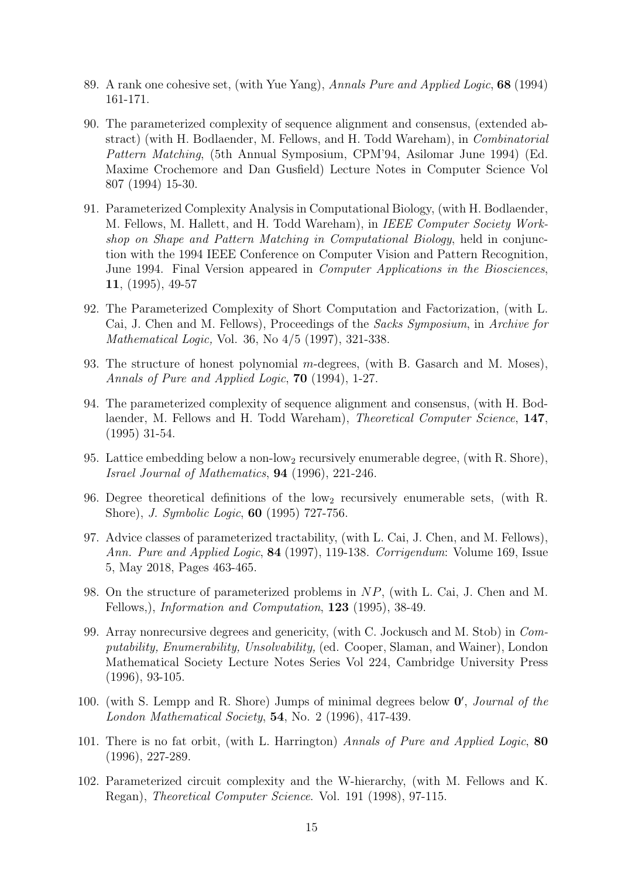- 89. A rank one cohesive set, (with Yue Yang), Annals Pure and Applied Logic, 68 (1994) 161-171.
- 90. The parameterized complexity of sequence alignment and consensus, (extended abstract) (with H. Bodlaender, M. Fellows, and H. Todd Wareham), in Combinatorial Pattern Matching, (5th Annual Symposium, CPM'94, Asilomar June 1994) (Ed. Maxime Crochemore and Dan Gusfield) Lecture Notes in Computer Science Vol 807 (1994) 15-30.
- 91. Parameterized Complexity Analysis in Computational Biology, (with H. Bodlaender, M. Fellows, M. Hallett, and H. Todd Wareham), in IEEE Computer Society Workshop on Shape and Pattern Matching in Computational Biology, held in conjunction with the 1994 IEEE Conference on Computer Vision and Pattern Recognition, June 1994. Final Version appeared in Computer Applications in the Biosciences, 11, (1995), 49-57
- 92. The Parameterized Complexity of Short Computation and Factorization, (with L. Cai, J. Chen and M. Fellows), Proceedings of the Sacks Symposium, in Archive for Mathematical Logic, Vol. 36, No 4/5 (1997), 321-338.
- 93. The structure of honest polynomial m-degrees, (with B. Gasarch and M. Moses), Annals of Pure and Applied Logic, 70 (1994), 1-27.
- 94. The parameterized complexity of sequence alignment and consensus, (with H. Bodlaender, M. Fellows and H. Todd Wareham), *Theoretical Computer Science*, 147, (1995) 31-54.
- 95. Lattice embedding below a non-low<sub>2</sub> recursively enumerable degree, (with R. Shore), Israel Journal of Mathematics, 94 (1996), 221-246.
- 96. Degree theoretical definitions of the  $\log_2$  recursively enumerable sets, (with R. Shore), J. Symbolic Logic, 60 (1995) 727-756.
- 97. Advice classes of parameterized tractability, (with L. Cai, J. Chen, and M. Fellows), Ann. Pure and Applied Logic, 84 (1997), 119-138. Corrigendum: Volume 169, Issue 5, May 2018, Pages 463-465.
- 98. On the structure of parameterized problems in NP, (with L. Cai, J. Chen and M. Fellows,), *Information and Computation*, **123** (1995), 38-49.
- 99. Array nonrecursive degrees and genericity, (with C. Jockusch and M. Stob) in Computability, Enumerability, Unsolvability, (ed. Cooper, Slaman, and Wainer), London Mathematical Society Lecture Notes Series Vol 224, Cambridge University Press (1996), 93-105.
- 100. (with S. Lempp and R. Shore) Jumps of minimal degrees below  $0'$ , *Journal of the* London Mathematical Society, 54, No. 2 (1996), 417-439.
- 101. There is no fat orbit, (with L. Harrington) Annals of Pure and Applied Logic, 80 (1996), 227-289.
- 102. Parameterized circuit complexity and the W-hierarchy, (with M. Fellows and K. Regan), Theoretical Computer Science. Vol. 191 (1998), 97-115.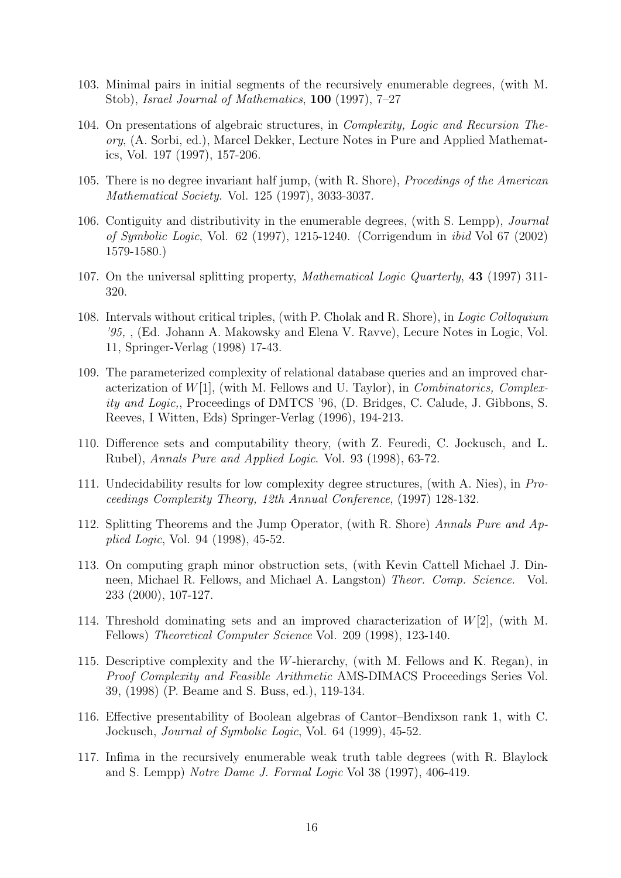- 103. Minimal pairs in initial segments of the recursively enumerable degrees, (with M. Stob), Israel Journal of Mathematics, 100 (1997), 7–27
- 104. On presentations of algebraic structures, in Complexity, Logic and Recursion Theory, (A. Sorbi, ed.), Marcel Dekker, Lecture Notes in Pure and Applied Mathematics, Vol. 197 (1997), 157-206.
- 105. There is no degree invariant half jump, (with R. Shore), Procedings of the American Mathematical Society. Vol. 125 (1997), 3033-3037.
- 106. Contiguity and distributivity in the enumerable degrees, (with S. Lempp), Journal of Symbolic Logic, Vol. 62 (1997), 1215-1240. (Corrigendum in ibid Vol 67 (2002) 1579-1580.)
- 107. On the universal splitting property, Mathematical Logic Quarterly, 43 (1997) 311- 320.
- 108. Intervals without critical triples, (with P. Cholak and R. Shore), in Logic Colloquium '95, , (Ed. Johann A. Makowsky and Elena V. Ravve), Lecure Notes in Logic, Vol. 11, Springer-Verlag (1998) 17-43.
- 109. The parameterized complexity of relational database queries and an improved characterization of  $W[1]$ , (with M. Fellows and U. Taylor), in *Combinatorics*, *Complex*ity and Logic,, Proceedings of DMTCS '96, (D. Bridges, C. Calude, J. Gibbons, S. Reeves, I Witten, Eds) Springer-Verlag (1996), 194-213.
- 110. Difference sets and computability theory, (with Z. Feuredi, C. Jockusch, and L. Rubel), Annals Pure and Applied Logic. Vol. 93 (1998), 63-72.
- 111. Undecidability results for low complexity degree structures, (with A. Nies), in Proceedings Complexity Theory, 12th Annual Conference, (1997) 128-132.
- 112. Splitting Theorems and the Jump Operator, (with R. Shore) Annals Pure and Applied Logic, Vol. 94 (1998), 45-52.
- 113. On computing graph minor obstruction sets, (with Kevin Cattell Michael J. Dinneen, Michael R. Fellows, and Michael A. Langston) Theor. Comp. Science. Vol. 233 (2000), 107-127.
- 114. Threshold dominating sets and an improved characterization of W[2], (with M. Fellows) Theoretical Computer Science Vol. 209 (1998), 123-140.
- 115. Descriptive complexity and the W-hierarchy, (with M. Fellows and K. Regan), in Proof Complexity and Feasible Arithmetic AMS-DIMACS Proceedings Series Vol. 39, (1998) (P. Beame and S. Buss, ed.), 119-134.
- 116. Effective presentability of Boolean algebras of Cantor–Bendixson rank 1, with C. Jockusch, Journal of Symbolic Logic, Vol. 64 (1999), 45-52.
- 117. Infima in the recursively enumerable weak truth table degrees (with R. Blaylock and S. Lempp) Notre Dame J. Formal Logic Vol 38 (1997), 406-419.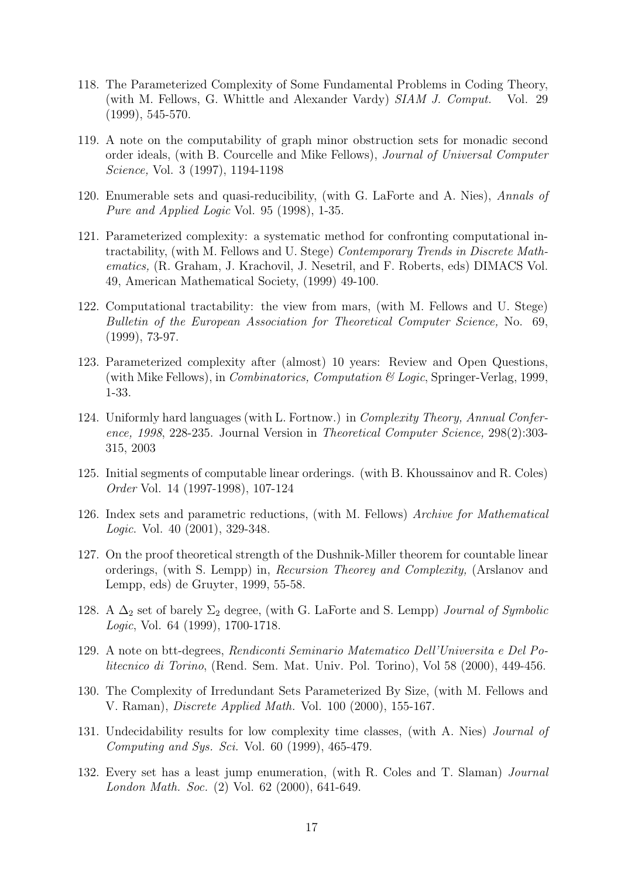- 118. The Parameterized Complexity of Some Fundamental Problems in Coding Theory, (with M. Fellows, G. Whittle and Alexander Vardy) SIAM J. Comput. Vol. 29 (1999), 545-570.
- 119. A note on the computability of graph minor obstruction sets for monadic second order ideals, (with B. Courcelle and Mike Fellows), Journal of Universal Computer Science, Vol. 3 (1997), 1194-1198
- 120. Enumerable sets and quasi-reducibility, (with G. LaForte and A. Nies), Annals of Pure and Applied Logic Vol. 95 (1998), 1-35.
- 121. Parameterized complexity: a systematic method for confronting computational intractability, (with M. Fellows and U. Stege) Contemporary Trends in Discrete Mathematics, (R. Graham, J. Krachovil, J. Nesetril, and F. Roberts, eds) DIMACS Vol. 49, American Mathematical Society, (1999) 49-100.
- 122. Computational tractability: the view from mars, (with M. Fellows and U. Stege) Bulletin of the European Association for Theoretical Computer Science, No. 69, (1999), 73-97.
- 123. Parameterized complexity after (almost) 10 years: Review and Open Questions, (with Mike Fellows), in *Combinatorics, Computation*  $\mathcal{B}$  *Logic*, Springer-Verlag, 1999, 1-33.
- 124. Uniformly hard languages (with L. Fortnow.) in Complexity Theory, Annual Conference, 1998, 228-235. Journal Version in Theoretical Computer Science, 298(2):303- 315, 2003
- 125. Initial segments of computable linear orderings. (with B. Khoussainov and R. Coles) Order Vol. 14 (1997-1998), 107-124
- 126. Index sets and parametric reductions, (with M. Fellows) Archive for Mathematical Logic. Vol. 40 (2001), 329-348.
- 127. On the proof theoretical strength of the Dushnik-Miller theorem for countable linear orderings, (with S. Lempp) in, Recursion Theorey and Complexity, (Arslanov and Lempp, eds) de Gruyter, 1999, 55-58.
- 128. A  $\Delta_2$  set of barely  $\Sigma_2$  degree, (with G. LaForte and S. Lempp) *Journal of Symbolic* Logic, Vol. 64 (1999), 1700-1718.
- 129. A note on btt-degrees, Rendiconti Seminario Matematico Dell'Universita e Del Politecnico di Torino, (Rend. Sem. Mat. Univ. Pol. Torino), Vol 58 (2000), 449-456.
- 130. The Complexity of Irredundant Sets Parameterized By Size, (with M. Fellows and V. Raman), Discrete Applied Math. Vol. 100 (2000), 155-167.
- 131. Undecidability results for low complexity time classes, (with A. Nies) Journal of Computing and Sys. Sci. Vol. 60 (1999), 465-479.
- 132. Every set has a least jump enumeration, (with R. Coles and T. Slaman) Journal London Math. Soc. (2) Vol. 62 (2000), 641-649.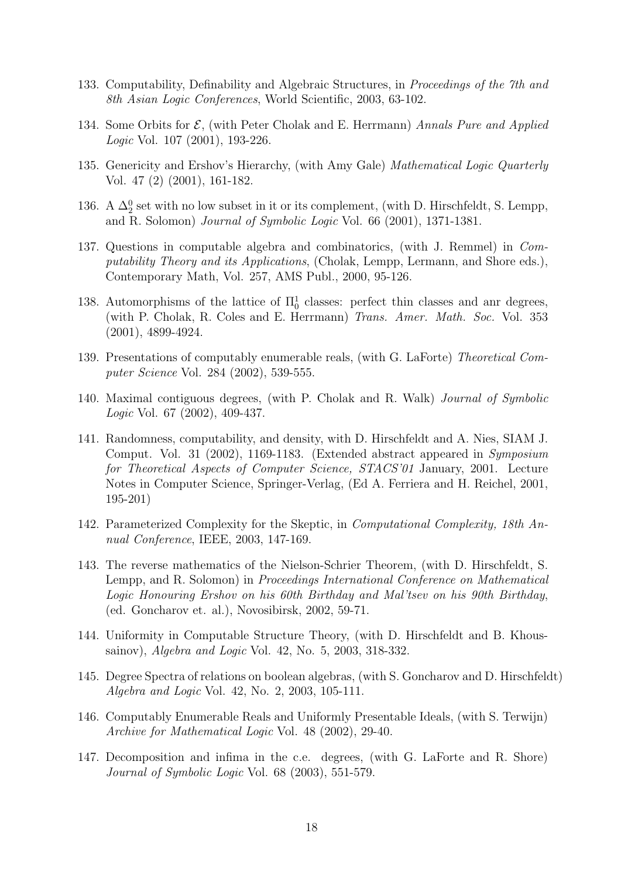- 133. Computability, Definability and Algebraic Structures, in Proceedings of the 7th and 8th Asian Logic Conferences, World Scientific, 2003, 63-102.
- 134. Some Orbits for  $\mathcal{E}$ , (with Peter Cholak and E. Herrmann) Annals Pure and Applied Logic Vol. 107 (2001), 193-226.
- 135. Genericity and Ershov's Hierarchy, (with Amy Gale) Mathematical Logic Quarterly Vol. 47 (2) (2001), 161-182.
- 136. A  $\Delta_2^0$  set with no low subset in it or its complement, (with D. Hirschfeldt, S. Lempp, and R. Solomon) Journal of Symbolic Logic Vol. 66 (2001), 1371-1381.
- 137. Questions in computable algebra and combinatorics, (with J. Remmel) in Computability Theory and its Applications, (Cholak, Lempp, Lermann, and Shore eds.), Contemporary Math, Vol. 257, AMS Publ., 2000, 95-126.
- 138. Automorphisms of the lattice of  $\Pi_0^1$  classes: perfect thin classes and anr degrees, (with P. Cholak, R. Coles and E. Herrmann) Trans. Amer. Math. Soc. Vol. 353 (2001), 4899-4924.
- 139. Presentations of computably enumerable reals, (with G. LaForte) Theoretical Computer Science Vol. 284 (2002), 539-555.
- 140. Maximal contiguous degrees, (with P. Cholak and R. Walk) Journal of Symbolic Logic Vol. 67 (2002), 409-437.
- 141. Randomness, computability, and density, with D. Hirschfeldt and A. Nies, SIAM J. Comput. Vol. 31 (2002), 1169-1183. (Extended abstract appeared in Symposium for Theoretical Aspects of Computer Science, STACS'01 January, 2001. Lecture Notes in Computer Science, Springer-Verlag, (Ed A. Ferriera and H. Reichel, 2001, 195-201)
- 142. Parameterized Complexity for the Skeptic, in Computational Complexity, 18th Annual Conference, IEEE, 2003, 147-169.
- 143. The reverse mathematics of the Nielson-Schrier Theorem, (with D. Hirschfeldt, S. Lempp, and R. Solomon) in Proceedings International Conference on Mathematical Logic Honouring Ershov on his 60th Birthday and Mal'tsev on his 90th Birthday, (ed. Goncharov et. al.), Novosibirsk, 2002, 59-71.
- 144. Uniformity in Computable Structure Theory, (with D. Hirschfeldt and B. Khoussainov), Algebra and Logic Vol. 42, No. 5, 2003, 318-332.
- 145. Degree Spectra of relations on boolean algebras, (with S. Goncharov and D. Hirschfeldt) Algebra and Logic Vol. 42, No. 2, 2003, 105-111.
- 146. Computably Enumerable Reals and Uniformly Presentable Ideals, (with S. Terwijn) Archive for Mathematical Logic Vol. 48 (2002), 29-40.
- 147. Decomposition and infima in the c.e. degrees, (with G. LaForte and R. Shore) Journal of Symbolic Logic Vol. 68 (2003), 551-579.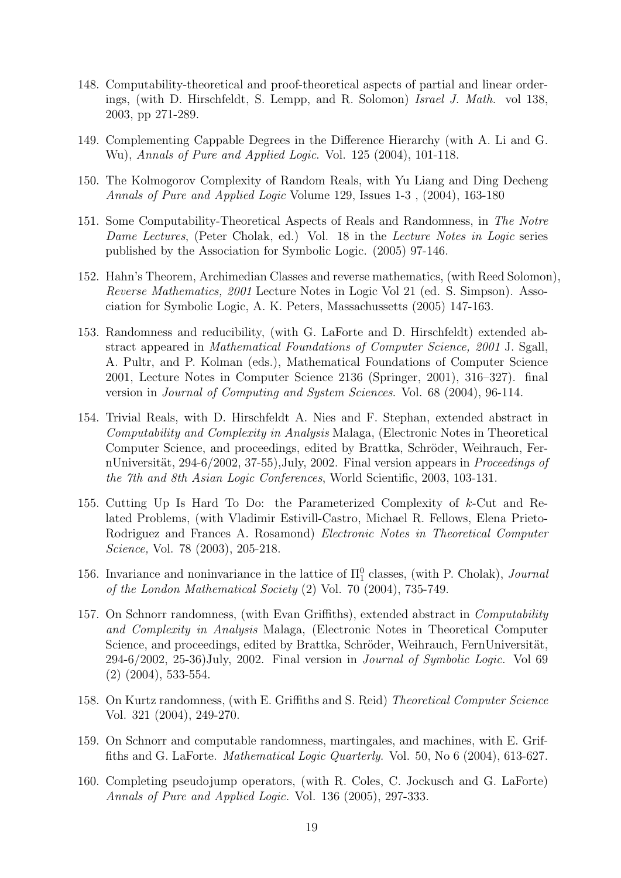- 148. Computability-theoretical and proof-theoretical aspects of partial and linear orderings, (with D. Hirschfeldt, S. Lempp, and R. Solomon) Israel J. Math. vol 138, 2003, pp 271-289.
- 149. Complementing Cappable Degrees in the Difference Hierarchy (with A. Li and G. Wu), Annals of Pure and Applied Logic. Vol. 125 (2004), 101-118.
- 150. The Kolmogorov Complexity of Random Reals, with Yu Liang and Ding Decheng Annals of Pure and Applied Logic Volume 129, Issues 1-3 , (2004), 163-180
- 151. Some Computability-Theoretical Aspects of Reals and Randomness, in The Notre Dame Lectures, (Peter Cholak, ed.) Vol. 18 in the Lecture Notes in Logic series published by the Association for Symbolic Logic. (2005) 97-146.
- 152. Hahn's Theorem, Archimedian Classes and reverse mathematics, (with Reed Solomon), Reverse Mathematics, 2001 Lecture Notes in Logic Vol 21 (ed. S. Simpson). Association for Symbolic Logic, A. K. Peters, Massachussetts (2005) 147-163.
- 153. Randomness and reducibility, (with G. LaForte and D. Hirschfeldt) extended abstract appeared in Mathematical Foundations of Computer Science, 2001 J. Sgall, A. Pultr, and P. Kolman (eds.), Mathematical Foundations of Computer Science 2001, Lecture Notes in Computer Science 2136 (Springer, 2001), 316–327). final version in Journal of Computing and System Sciences. Vol. 68 (2004), 96-114.
- 154. Trivial Reals, with D. Hirschfeldt A. Nies and F. Stephan, extended abstract in Computability and Complexity in Analysis Malaga, (Electronic Notes in Theoretical Computer Science, and proceedings, edited by Brattka, Schröder, Weihrauch, FernUniversität, 294-6/2002, 37-55), July, 2002. Final version appears in Proceedings of the 7th and 8th Asian Logic Conferences, World Scientific, 2003, 103-131.
- 155. Cutting Up Is Hard To Do: the Parameterized Complexity of k-Cut and Related Problems, (with Vladimir Estivill-Castro, Michael R. Fellows, Elena Prieto-Rodriguez and Frances A. Rosamond) Electronic Notes in Theoretical Computer Science, Vol. 78 (2003), 205-218.
- 156. Invariance and noninvariance in the lattice of  $\Pi_1^0$  classes, (with P. Cholak), *Journal* of the London Mathematical Society (2) Vol. 70 (2004), 735-749.
- 157. On Schnorr randomness, (with Evan Griffiths), extended abstract in Computability and Complexity in Analysis Malaga, (Electronic Notes in Theoretical Computer Science, and proceedings, edited by Brattka, Schröder, Weihrauch, FernUniversität, 294-6/2002, 25-36)July, 2002. Final version in Journal of Symbolic Logic. Vol 69 (2) (2004), 533-554.
- 158. On Kurtz randomness, (with E. Griffiths and S. Reid) Theoretical Computer Science Vol. 321 (2004), 249-270.
- 159. On Schnorr and computable randomness, martingales, and machines, with E. Griffiths and G. LaForte. Mathematical Logic Quarterly. Vol. 50, No 6 (2004), 613-627.
- 160. Completing pseudojump operators, (with R. Coles, C. Jockusch and G. LaForte) Annals of Pure and Applied Logic. Vol. 136 (2005), 297-333.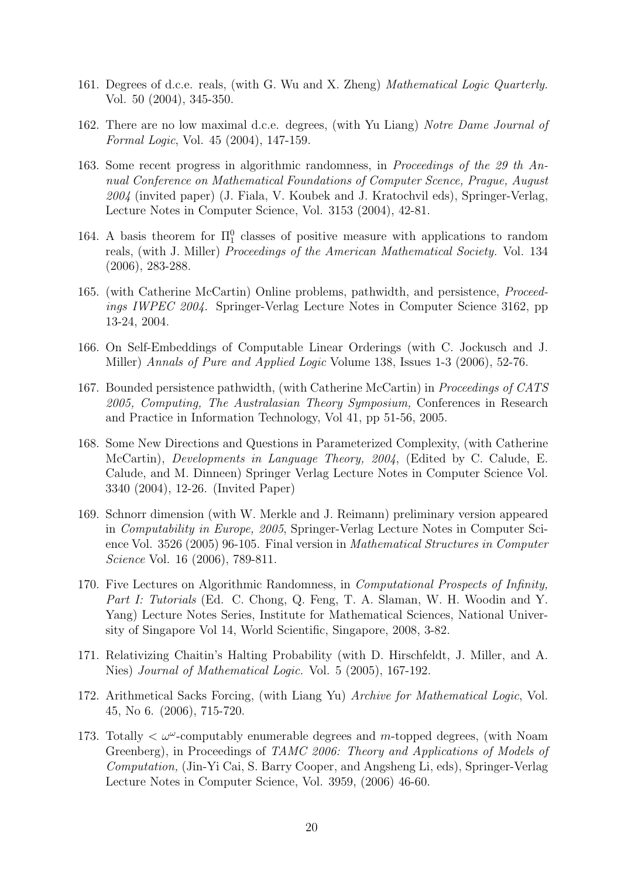- 161. Degrees of d.c.e. reals, (with G. Wu and X. Zheng) Mathematical Logic Quarterly. Vol. 50 (2004), 345-350.
- 162. There are no low maximal d.c.e. degrees, (with Yu Liang) Notre Dame Journal of Formal Logic, Vol. 45 (2004), 147-159.
- 163. Some recent progress in algorithmic randomness, in Proceedings of the 29 th Annual Conference on Mathematical Foundations of Computer Scence, Prague, August 2004 (invited paper) (J. Fiala, V. Koubek and J. Kratochvil eds), Springer-Verlag, Lecture Notes in Computer Science, Vol. 3153 (2004), 42-81.
- 164. A basis theorem for  $\Pi_1^0$  classes of positive measure with applications to random reals, (with J. Miller) Proceedings of the American Mathematical Society. Vol. 134 (2006), 283-288.
- 165. (with Catherine McCartin) Online problems, pathwidth, and persistence, Proceedings IWPEC 2004. Springer-Verlag Lecture Notes in Computer Science 3162, pp 13-24, 2004.
- 166. On Self-Embeddings of Computable Linear Orderings (with C. Jockusch and J. Miller) Annals of Pure and Applied Logic Volume 138, Issues 1-3 (2006), 52-76.
- 167. Bounded persistence pathwidth, (with Catherine McCartin) in Proceedings of CATS 2005, Computing, The Australasian Theory Symposium, Conferences in Research and Practice in Information Technology, Vol 41, pp 51-56, 2005.
- 168. Some New Directions and Questions in Parameterized Complexity, (with Catherine McCartin), Developments in Language Theory, 2004, (Edited by C. Calude, E. Calude, and M. Dinneen) Springer Verlag Lecture Notes in Computer Science Vol. 3340 (2004), 12-26. (Invited Paper)
- 169. Schnorr dimension (with W. Merkle and J. Reimann) preliminary version appeared in Computability in Europe, 2005, Springer-Verlag Lecture Notes in Computer Science Vol. 3526 (2005) 96-105. Final version in Mathematical Structures in Computer Science Vol. 16 (2006), 789-811.
- 170. Five Lectures on Algorithmic Randomness, in Computational Prospects of Infinity, Part I: Tutorials (Ed. C. Chong, Q. Feng, T. A. Slaman, W. H. Woodin and Y. Yang) Lecture Notes Series, Institute for Mathematical Sciences, National University of Singapore Vol 14, World Scientific, Singapore, 2008, 3-82.
- 171. Relativizing Chaitin's Halting Probability (with D. Hirschfeldt, J. Miller, and A. Nies) Journal of Mathematical Logic. Vol. 5 (2005), 167-192.
- 172. Arithmetical Sacks Forcing, (with Liang Yu) Archive for Mathematical Logic, Vol. 45, No 6. (2006), 715-720.
- 173. Totally  $\langle \omega^{\omega}$ -computably enumerable degrees and m-topped degrees, (with Noam Greenberg), in Proceedings of TAMC 2006: Theory and Applications of Models of Computation, (Jin-Yi Cai, S. Barry Cooper, and Angsheng Li, eds), Springer-Verlag Lecture Notes in Computer Science, Vol. 3959, (2006) 46-60.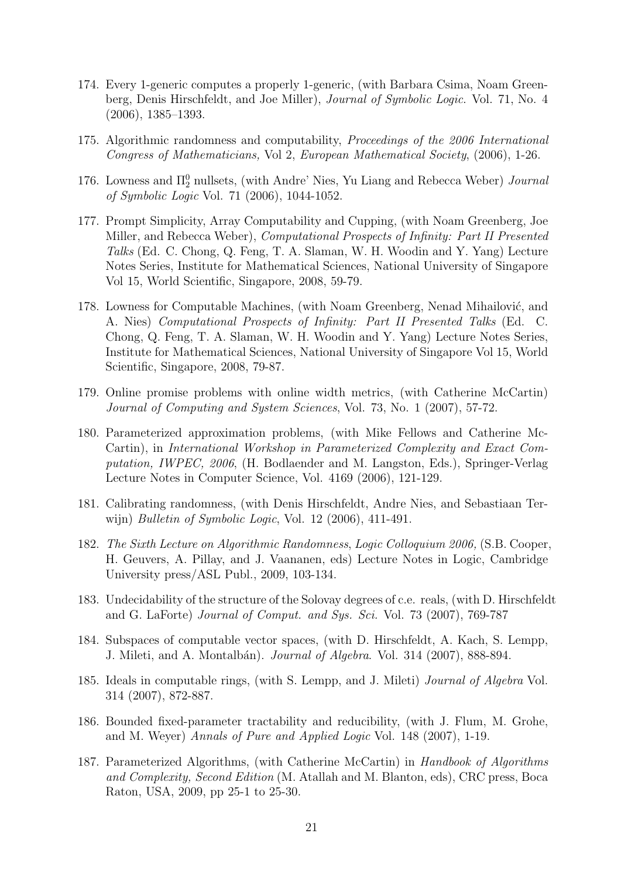- 174. Every 1-generic computes a properly 1-generic, (with Barbara Csima, Noam Greenberg, Denis Hirschfeldt, and Joe Miller), Journal of Symbolic Logic. Vol. 71, No. 4 (2006), 1385–1393.
- 175. Algorithmic randomness and computability, Proceedings of the 2006 International Congress of Mathematicians, Vol 2, European Mathematical Society, (2006), 1-26.
- 176. Lowness and  $\Pi_2^0$  nullsets, (with Andre' Nies, Yu Liang and Rebecca Weber) *Journal* of Symbolic Logic Vol. 71 (2006), 1044-1052.
- 177. Prompt Simplicity, Array Computability and Cupping, (with Noam Greenberg, Joe Miller, and Rebecca Weber), Computational Prospects of Infinity: Part II Presented Talks (Ed. C. Chong, Q. Feng, T. A. Slaman, W. H. Woodin and Y. Yang) Lecture Notes Series, Institute for Mathematical Sciences, National University of Singapore Vol 15, World Scientific, Singapore, 2008, 59-79.
- 178. Lowness for Computable Machines, (with Noam Greenberg, Nenad Mihailović, and A. Nies) Computational Prospects of Infinity: Part II Presented Talks (Ed. C. Chong, Q. Feng, T. A. Slaman, W. H. Woodin and Y. Yang) Lecture Notes Series, Institute for Mathematical Sciences, National University of Singapore Vol 15, World Scientific, Singapore, 2008, 79-87.
- 179. Online promise problems with online width metrics, (with Catherine McCartin) Journal of Computing and System Sciences, Vol. 73, No. 1 (2007), 57-72.
- 180. Parameterized approximation problems, (with Mike Fellows and Catherine Mc-Cartin), in International Workshop in Parameterized Complexity and Exact Computation, IWPEC, 2006, (H. Bodlaender and M. Langston, Eds.), Springer-Verlag Lecture Notes in Computer Science, Vol. 4169 (2006), 121-129.
- 181. Calibrating randomness, (with Denis Hirschfeldt, Andre Nies, and Sebastiaan Terwijn) Bulletin of Symbolic Logic, Vol. 12 (2006), 411-491.
- 182. The Sixth Lecture on Algorithmic Randomness, Logic Colloquium 2006, (S.B. Cooper, H. Geuvers, A. Pillay, and J. Vaananen, eds) Lecture Notes in Logic, Cambridge University press/ASL Publ., 2009, 103-134.
- 183. Undecidability of the structure of the Solovay degrees of c.e. reals, (with D. Hirschfeldt and G. LaForte) Journal of Comput. and Sys. Sci. Vol. 73 (2007), 769-787
- 184. Subspaces of computable vector spaces, (with D. Hirschfeldt, A. Kach, S. Lempp, J. Mileti, and A. Montalbán). *Journal of Algebra*. Vol. 314 (2007), 888-894.
- 185. Ideals in computable rings, (with S. Lempp, and J. Mileti) Journal of Algebra Vol. 314 (2007), 872-887.
- 186. Bounded fixed-parameter tractability and reducibility, (with J. Flum, M. Grohe, and M. Weyer) Annals of Pure and Applied Logic Vol. 148 (2007), 1-19.
- 187. Parameterized Algorithms, (with Catherine McCartin) in *Handbook of Algorithms* and Complexity, Second Edition (M. Atallah and M. Blanton, eds), CRC press, Boca Raton, USA, 2009, pp 25-1 to 25-30.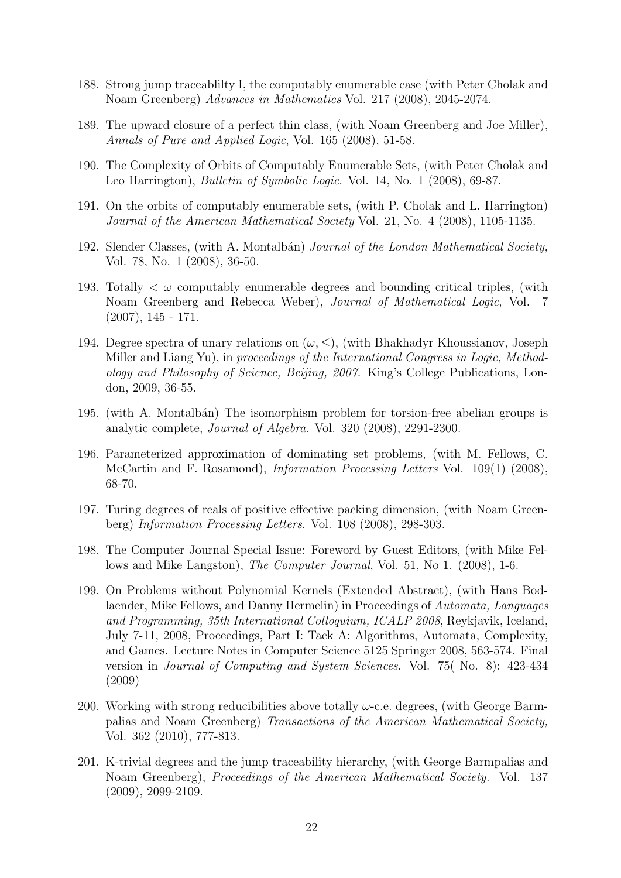- 188. Strong jump traceablilty I, the computably enumerable case (with Peter Cholak and Noam Greenberg) Advances in Mathematics Vol. 217 (2008), 2045-2074.
- 189. The upward closure of a perfect thin class, (with Noam Greenberg and Joe Miller), Annals of Pure and Applied Logic, Vol. 165 (2008), 51-58.
- 190. The Complexity of Orbits of Computably Enumerable Sets, (with Peter Cholak and Leo Harrington), *Bulletin of Symbolic Logic*. Vol. 14, No. 1 (2008), 69-87.
- 191. On the orbits of computably enumerable sets, (with P. Cholak and L. Harrington) Journal of the American Mathematical Society Vol. 21, No. 4 (2008), 1105-1135.
- 192. Slender Classes, (with A. Montalbán) Journal of the London Mathematical Society, Vol. 78, No. 1 (2008), 36-50.
- 193. Totally  $\lt \omega$  computably enumerable degrees and bounding critical triples, (with Noam Greenberg and Rebecca Weber), Journal of Mathematical Logic, Vol. 7  $(2007), 145 - 171.$
- 194. Degree spectra of unary relations on  $(\omega, \leq)$ , (with Bhakhadyr Khoussianov, Joseph Miller and Liang Yu), in proceedings of the International Congress in Logic, Methodology and Philosophy of Science, Beijing, 2007. King's College Publications, London, 2009, 36-55.
- 195. (with A. Montalbán) The isomorphism problem for torsion-free abelian groups is analytic complete, Journal of Algebra. Vol. 320 (2008), 2291-2300.
- 196. Parameterized approximation of dominating set problems, (with M. Fellows, C. McCartin and F. Rosamond), Information Processing Letters Vol. 109(1) (2008), 68-70.
- 197. Turing degrees of reals of positive effective packing dimension, (with Noam Greenberg) Information Processing Letters. Vol. 108 (2008), 298-303.
- 198. The Computer Journal Special Issue: Foreword by Guest Editors, (with Mike Fellows and Mike Langston), The Computer Journal, Vol. 51, No 1. (2008), 1-6.
- 199. On Problems without Polynomial Kernels (Extended Abstract), (with Hans Bodlaender, Mike Fellows, and Danny Hermelin) in Proceedings of Automata, Languages and Programming, 35th International Colloquium, ICALP 2008, Reykjavik, Iceland, July 7-11, 2008, Proceedings, Part I: Tack A: Algorithms, Automata, Complexity, and Games. Lecture Notes in Computer Science 5125 Springer 2008, 563-574. Final version in Journal of Computing and System Sciences. Vol. 75( No. 8): 423-434 (2009)
- 200. Working with strong reducibilities above totally  $\omega$ -c.e. degrees, (with George Barmpalias and Noam Greenberg) Transactions of the American Mathematical Society, Vol. 362 (2010), 777-813.
- 201. K-trivial degrees and the jump traceability hierarchy, (with George Barmpalias and Noam Greenberg), *Proceedings of the American Mathematical Society*. Vol. 137 (2009), 2099-2109.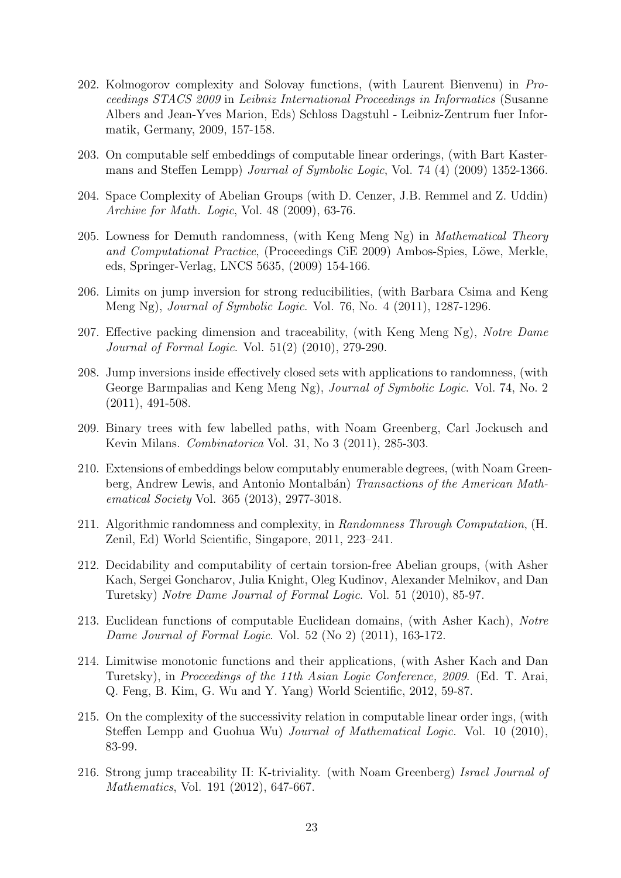- 202. Kolmogorov complexity and Solovay functions, (with Laurent Bienvenu) in Proceedings STACS 2009 in Leibniz International Proceedings in Informatics (Susanne Albers and Jean-Yves Marion, Eds) Schloss Dagstuhl - Leibniz-Zentrum fuer Informatik, Germany, 2009, 157-158.
- 203. On computable self embeddings of computable linear orderings, (with Bart Kastermans and Steffen Lempp) Journal of Symbolic Logic, Vol. 74 (4) (2009) 1352-1366.
- 204. Space Complexity of Abelian Groups (with D. Cenzer, J.B. Remmel and Z. Uddin) Archive for Math. Logic, Vol. 48 (2009), 63-76.
- 205. Lowness for Demuth randomness, (with Keng Meng Ng) in *Mathematical Theory* and Computational Practice, (Proceedings CiE 2009) Ambos-Spies, Löwe, Merkle, eds, Springer-Verlag, LNCS 5635, (2009) 154-166.
- 206. Limits on jump inversion for strong reducibilities, (with Barbara Csima and Keng Meng Ng), Journal of Symbolic Logic. Vol. 76, No. 4 (2011), 1287-1296.
- 207. Effective packing dimension and traceability, (with Keng Meng Ng), Notre Dame Journal of Formal Logic. Vol. 51(2) (2010), 279-290.
- 208. Jump inversions inside effectively closed sets with applications to randomness, (with George Barmpalias and Keng Meng Ng), *Journal of Symbolic Logic*. Vol. 74, No. 2 (2011), 491-508.
- 209. Binary trees with few labelled paths, with Noam Greenberg, Carl Jockusch and Kevin Milans. Combinatorica Vol. 31, No 3 (2011), 285-303.
- 210. Extensions of embeddings below computably enumerable degrees, (with Noam Greenberg, Andrew Lewis, and Antonio Montalbán) Transactions of the American Mathematical Society Vol. 365 (2013), 2977-3018.
- 211. Algorithmic randomness and complexity, in Randomness Through Computation, (H. Zenil, Ed) World Scientific, Singapore, 2011, 223–241.
- 212. Decidability and computability of certain torsion-free Abelian groups, (with Asher Kach, Sergei Goncharov, Julia Knight, Oleg Kudinov, Alexander Melnikov, and Dan Turetsky) Notre Dame Journal of Formal Logic. Vol. 51 (2010), 85-97.
- 213. Euclidean functions of computable Euclidean domains, (with Asher Kach), Notre Dame Journal of Formal Logic. Vol. 52 (No 2) (2011), 163-172.
- 214. Limitwise monotonic functions and their applications, (with Asher Kach and Dan Turetsky), in Proceedings of the 11th Asian Logic Conference, 2009. (Ed. T. Arai, Q. Feng, B. Kim, G. Wu and Y. Yang) World Scientific, 2012, 59-87.
- 215. On the complexity of the successivity relation in computable linear order ings, (with Steffen Lempp and Guohua Wu) *Journal of Mathematical Logic*. Vol. 10 (2010), 83-99.
- 216. Strong jump traceability II: K-triviality. (with Noam Greenberg) Israel Journal of Mathematics, Vol. 191 (2012), 647-667.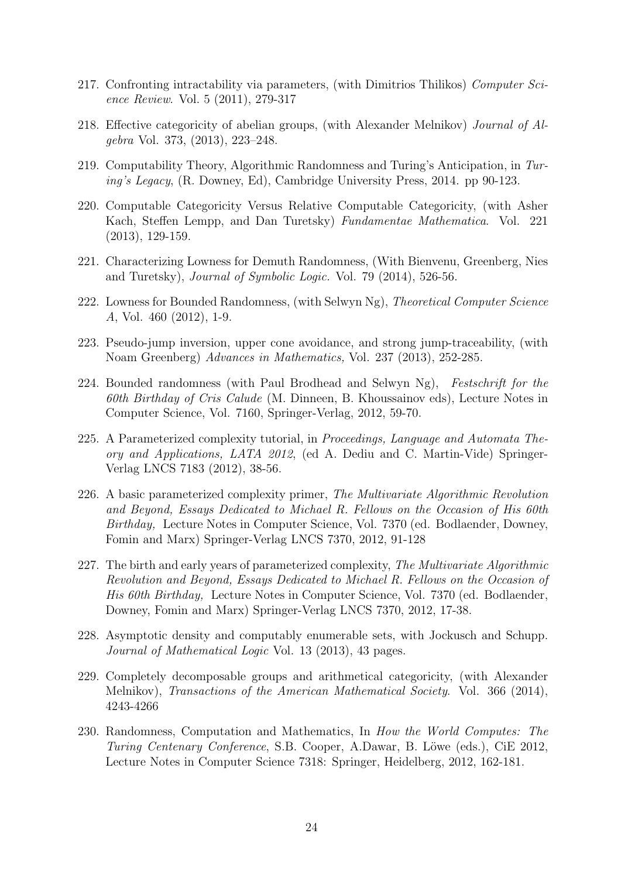- 217. Confronting intractability via parameters, (with Dimitrios Thilikos) Computer Science Review. Vol. 5 (2011), 279-317
- 218. Effective categoricity of abelian groups, (with Alexander Melnikov) Journal of Algebra Vol. 373, (2013), 223–248.
- 219. Computability Theory, Algorithmic Randomness and Turing's Anticipation, in Turing's Legacy, (R. Downey, Ed), Cambridge University Press, 2014. pp 90-123.
- 220. Computable Categoricity Versus Relative Computable Categoricity, (with Asher Kach, Steffen Lempp, and Dan Turetsky) Fundamentae Mathematica. Vol. 221 (2013), 129-159.
- 221. Characterizing Lowness for Demuth Randomness, (With Bienvenu, Greenberg, Nies and Turetsky), Journal of Symbolic Logic. Vol. 79 (2014), 526-56.
- 222. Lowness for Bounded Randomness, (with Selwyn Ng), Theoretical Computer Science A, Vol. 460 (2012), 1-9.
- 223. Pseudo-jump inversion, upper cone avoidance, and strong jump-traceability, (with Noam Greenberg) Advances in Mathematics, Vol. 237 (2013), 252-285.
- 224. Bounded randomness (with Paul Brodhead and Selwyn Ng), Festschrift for the 60th Birthday of Cris Calude (M. Dinneen, B. Khoussainov eds), Lecture Notes in Computer Science, Vol. 7160, Springer-Verlag, 2012, 59-70.
- 225. A Parameterized complexity tutorial, in Proceedings, Language and Automata Theory and Applications, LATA 2012, (ed A. Dediu and C. Martin-Vide) Springer-Verlag LNCS 7183 (2012), 38-56.
- 226. A basic parameterized complexity primer, The Multivariate Algorithmic Revolution and Beyond, Essays Dedicated to Michael R. Fellows on the Occasion of His 60th Birthday, Lecture Notes in Computer Science, Vol. 7370 (ed. Bodlaender, Downey, Fomin and Marx) Springer-Verlag LNCS 7370, 2012, 91-128
- 227. The birth and early years of parameterized complexity, The Multivariate Algorithmic Revolution and Beyond, Essays Dedicated to Michael R. Fellows on the Occasion of His 60th Birthday, Lecture Notes in Computer Science, Vol. 7370 (ed. Bodlaender, Downey, Fomin and Marx) Springer-Verlag LNCS 7370, 2012, 17-38.
- 228. Asymptotic density and computably enumerable sets, with Jockusch and Schupp. Journal of Mathematical Logic Vol. 13 (2013), 43 pages.
- 229. Completely decomposable groups and arithmetical categoricity, (with Alexander Melnikov), Transactions of the American Mathematical Society. Vol. 366 (2014), 4243-4266
- 230. Randomness, Computation and Mathematics, In How the World Computes: The Turing Centenary Conference, S.B. Cooper, A.Dawar, B. Löwe (eds.), CiE 2012, Lecture Notes in Computer Science 7318: Springer, Heidelberg, 2012, 162-181.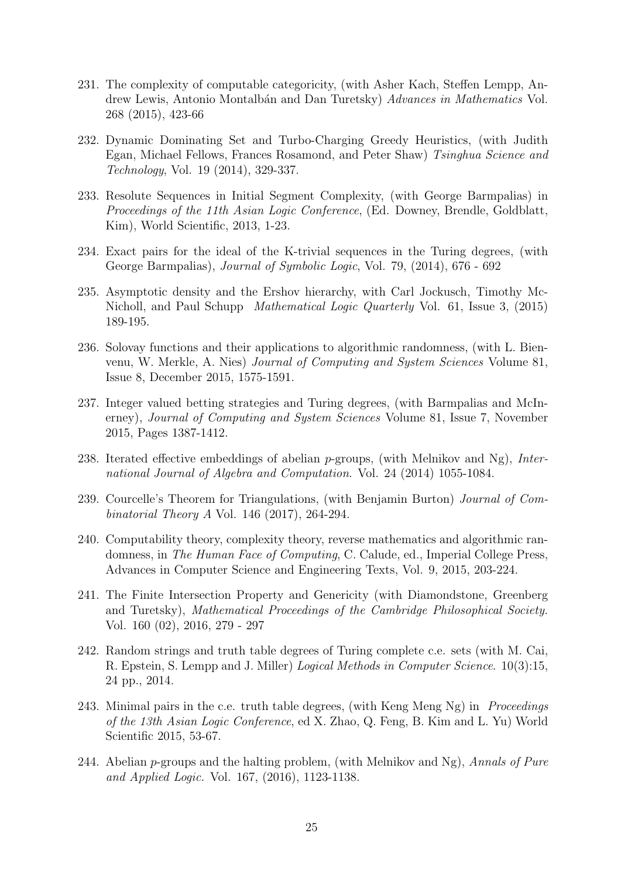- 231. The complexity of computable categoricity, (with Asher Kach, Steffen Lempp, Andrew Lewis, Antonio Montalbán and Dan Turetsky) Advances in Mathematics Vol. 268 (2015), 423-66
- 232. Dynamic Dominating Set and Turbo-Charging Greedy Heuristics, (with Judith Egan, Michael Fellows, Frances Rosamond, and Peter Shaw) Tsinghua Science and Technology, Vol. 19 (2014), 329-337.
- 233. Resolute Sequences in Initial Segment Complexity, (with George Barmpalias) in Proceedings of the 11th Asian Logic Conference, (Ed. Downey, Brendle, Goldblatt, Kim), World Scientific, 2013, 1-23.
- 234. Exact pairs for the ideal of the K-trivial sequences in the Turing degrees, (with George Barmpalias), Journal of Symbolic Logic, Vol. 79, (2014), 676 - 692
- 235. Asymptotic density and the Ershov hierarchy, with Carl Jockusch, Timothy Mc-Nicholl, and Paul Schupp Mathematical Logic Quarterly Vol. 61, Issue 3, (2015) 189-195.
- 236. Solovay functions and their applications to algorithmic randomness, (with L. Bienvenu, W. Merkle, A. Nies) Journal of Computing and System Sciences Volume 81, Issue 8, December 2015, 1575-1591.
- 237. Integer valued betting strategies and Turing degrees, (with Barmpalias and McInerney), Journal of Computing and System Sciences Volume 81, Issue 7, November 2015, Pages 1387-1412.
- 238. Iterated effective embeddings of abelian  $p$ -groups, (with Melnikov and Ng), *Inter*national Journal of Algebra and Computation. Vol. 24 (2014) 1055-1084.
- 239. Courcelle's Theorem for Triangulations, (with Benjamin Burton) Journal of Combinatorial Theory A Vol. 146 (2017), 264-294.
- 240. Computability theory, complexity theory, reverse mathematics and algorithmic randomness, in The Human Face of Computing, C. Calude, ed., Imperial College Press, Advances in Computer Science and Engineering Texts, Vol. 9, 2015, 203-224.
- 241. The Finite Intersection Property and Genericity (with Diamondstone, Greenberg and Turetsky), Mathematical Proceedings of the Cambridge Philosophical Society. Vol. 160 (02), 2016, 279 - 297
- 242. Random strings and truth table degrees of Turing complete c.e. sets (with M. Cai, R. Epstein, S. Lempp and J. Miller) Logical Methods in Computer Science. 10(3):15, 24 pp., 2014.
- 243. Minimal pairs in the c.e. truth table degrees, (with Keng Meng Ng) in *Proceedings* of the 13th Asian Logic Conference, ed X. Zhao, Q. Feng, B. Kim and L. Yu) World Scientific 2015, 53-67.
- 244. Abelian  $p$ -groups and the halting problem, (with Melnikov and Ng), Annals of Pure and Applied Logic. Vol. 167, (2016), 1123-1138.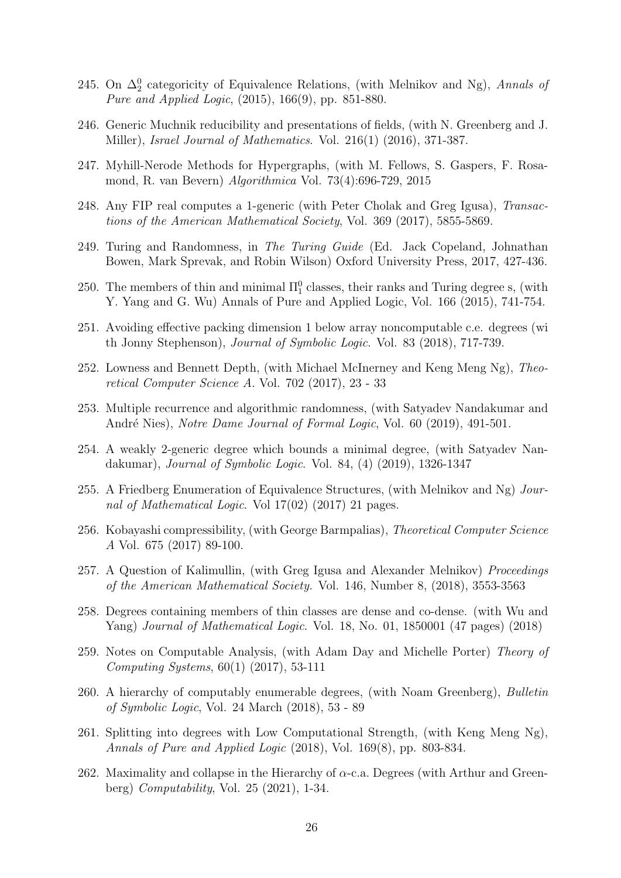- 245. On  $\Delta_2^0$  categoricity of Equivalence Relations, (with Melnikov and Ng), Annals of Pure and Applied Logic, (2015), 166(9), pp. 851-880.
- 246. Generic Muchnik reducibility and presentations of fields, (with N. Greenberg and J. Miller), Israel Journal of Mathematics. Vol. 216(1) (2016), 371-387.
- 247. Myhill-Nerode Methods for Hypergraphs, (with M. Fellows, S. Gaspers, F. Rosamond, R. van Bevern) Algorithmica Vol. 73(4):696-729, 2015
- 248. Any FIP real computes a 1-generic (with Peter Cholak and Greg Igusa), Transactions of the American Mathematical Society, Vol. 369 (2017), 5855-5869.
- 249. Turing and Randomness, in The Turing Guide (Ed. Jack Copeland, Johnathan Bowen, Mark Sprevak, and Robin Wilson) Oxford University Press, 2017, 427-436.
- 250. The members of thin and minimal  $\Pi_1^0$  classes, their ranks and Turing degree s, (with Y. Yang and G. Wu) Annals of Pure and Applied Logic, Vol. 166 (2015), 741-754.
- 251. Avoiding effective packing dimension 1 below array noncomputable c.e. degrees (wi th Jonny Stephenson), Journal of Symbolic Logic. Vol. 83 (2018), 717-739.
- 252. Lowness and Bennett Depth, (with Michael McInerney and Keng Meng Ng), Theoretical Computer Science A. Vol. 702 (2017), 23 - 33
- 253. Multiple recurrence and algorithmic randomness, (with Satyadev Nandakumar and André Nies), Notre Dame Journal of Formal Logic, Vol. 60 (2019), 491-501.
- 254. A weakly 2-generic degree which bounds a minimal degree, (with Satyadev Nandakumar), Journal of Symbolic Logic. Vol. 84, (4) (2019), 1326-1347
- 255. A Friedberg Enumeration of Equivalence Structures, (with Melnikov and Ng) Journal of Mathematical Logic. Vol 17(02) (2017) 21 pages.
- 256. Kobayashi compressibility, (with George Barmpalias), Theoretical Computer Science A Vol. 675 (2017) 89-100.
- 257. A Question of Kalimullin, (with Greg Igusa and Alexander Melnikov) *Proceedings* of the American Mathematical Society. Vol. 146, Number 8, (2018), 3553-3563
- 258. Degrees containing members of thin classes are dense and co-dense. (with Wu and Yang) Journal of Mathematical Logic. Vol. 18, No. 01, 1850001 (47 pages) (2018)
- 259. Notes on Computable Analysis, (with Adam Day and Michelle Porter) Theory of Computing Systems, 60(1) (2017), 53-111
- 260. A hierarchy of computably enumerable degrees, (with Noam Greenberg), Bulletin of Symbolic Logic, Vol. 24 March (2018), 53 - 89
- 261. Splitting into degrees with Low Computational Strength, (with Keng Meng Ng), Annals of Pure and Applied Logic (2018), Vol. 169(8), pp. 803-834.
- 262. Maximality and collapse in the Hierarchy of  $\alpha$ -c.a. Degrees (with Arthur and Greenberg) Computability, Vol. 25 (2021), 1-34.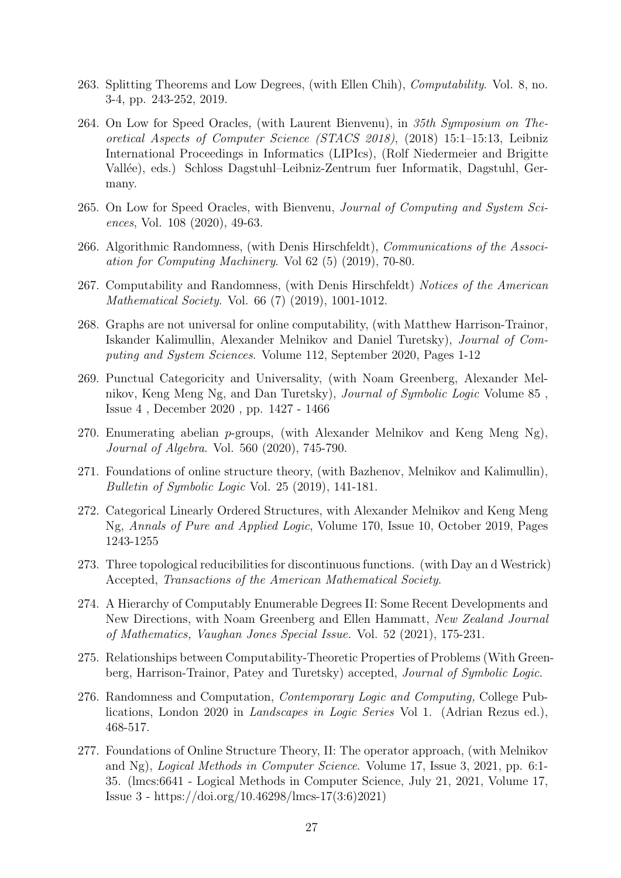- 263. Splitting Theorems and Low Degrees, (with Ellen Chih), Computability. Vol. 8, no. 3-4, pp. 243-252, 2019.
- 264. On Low for Speed Oracles, (with Laurent Bienvenu), in 35th Symposium on Theoretical Aspects of Computer Science (STACS 2018), (2018) 15:1–15:13, Leibniz International Proceedings in Informatics (LIPIcs), (Rolf Niedermeier and Brigitte Vallée), eds.) Schloss Dagstuhl–Leibniz-Zentrum fuer Informatik, Dagstuhl, Germany.
- 265. On Low for Speed Oracles, with Bienvenu, Journal of Computing and System Sciences, Vol. 108 (2020), 49-63.
- 266. Algorithmic Randomness, (with Denis Hirschfeldt), Communications of the Association for Computing Machinery. Vol 62 (5) (2019), 70-80.
- 267. Computability and Randomness, (with Denis Hirschfeldt) Notices of the American Mathematical Society. Vol. 66 (7) (2019), 1001-1012.
- 268. Graphs are not universal for online computability, (with Matthew Harrison-Trainor, Iskander Kalimullin, Alexander Melnikov and Daniel Turetsky), Journal of Computing and System Sciences. Volume 112, September 2020, Pages 1-12
- 269. Punctual Categoricity and Universality, (with Noam Greenberg, Alexander Melnikov, Keng Meng Ng, and Dan Turetsky), Journal of Symbolic Logic Volume 85 , Issue 4 , December 2020 , pp. 1427 - 1466
- 270. Enumerating abelian  $p$ -groups, (with Alexander Melnikov and Keng Meng Ng), Journal of Algebra. Vol. 560 (2020), 745-790.
- 271. Foundations of online structure theory, (with Bazhenov, Melnikov and Kalimullin), Bulletin of Symbolic Logic Vol. 25 (2019), 141-181.
- 272. Categorical Linearly Ordered Structures, with Alexander Melnikov and Keng Meng Ng, Annals of Pure and Applied Logic, Volume 170, Issue 10, October 2019, Pages 1243-1255
- 273. Three topological reducibilities for discontinuous functions. (with Day an d Westrick) Accepted, Transactions of the American Mathematical Society.
- 274. A Hierarchy of Computably Enumerable Degrees II: Some Recent Developments and New Directions, with Noam Greenberg and Ellen Hammatt, New Zealand Journal of Mathematics, Vaughan Jones Special Issue. Vol. 52 (2021), 175-231.
- 275. Relationships between Computability-Theoretic Properties of Problems (With Greenberg, Harrison-Trainor, Patey and Turetsky) accepted, Journal of Symbolic Logic.
- 276. Randomness and Computation, Contemporary Logic and Computing, College Publications, London 2020 in Landscapes in Logic Series Vol 1. (Adrian Rezus ed.), 468-517.
- 277. Foundations of Online Structure Theory, II: The operator approach, (with Melnikov and Ng), Logical Methods in Computer Science. Volume 17, Issue 3, 2021, pp. 6:1- 35. (lmcs:6641 - Logical Methods in Computer Science, July 21, 2021, Volume 17, Issue 3 - https://doi.org/10.46298/lmcs-17(3:6)2021)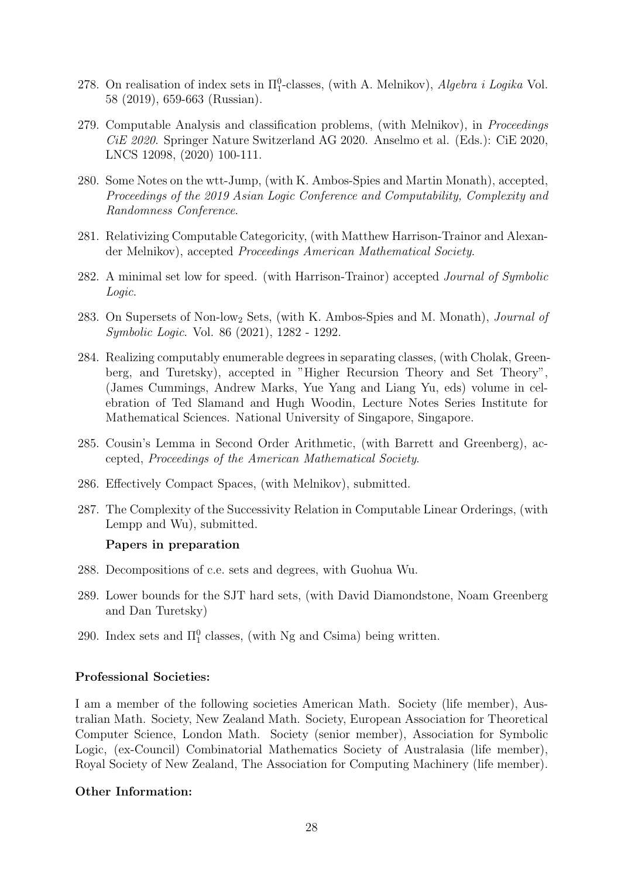- 278. On realisation of index sets in  $\Pi_1^0$ -classes, (with A. Melnikov), *Algebra i Logika* Vol. 58 (2019), 659-663 (Russian).
- 279. Computable Analysis and classification problems, (with Melnikov), in Proceedings CiE 2020. Springer Nature Switzerland AG 2020. Anselmo et al. (Eds.): CiE 2020, LNCS 12098, (2020) 100-111.
- 280. Some Notes on the wtt-Jump, (with K. Ambos-Spies and Martin Monath), accepted, Proceedings of the 2019 Asian Logic Conference and Computability, Complexity and Randomness Conference.
- 281. Relativizing Computable Categoricity, (with Matthew Harrison-Trainor and Alexander Melnikov), accepted Proceedings American Mathematical Society.
- 282. A minimal set low for speed. (with Harrison-Trainor) accepted Journal of Symbolic Logic.
- 283. On Supersets of Non-low<sup>2</sup> Sets, (with K. Ambos-Spies and M. Monath), Journal of Symbolic Logic. Vol. 86 (2021), 1282 - 1292.
- 284. Realizing computably enumerable degrees in separating classes, (with Cholak, Greenberg, and Turetsky), accepted in "Higher Recursion Theory and Set Theory", (James Cummings, Andrew Marks, Yue Yang and Liang Yu, eds) volume in celebration of Ted Slamand and Hugh Woodin, Lecture Notes Series Institute for Mathematical Sciences. National University of Singapore, Singapore.
- 285. Cousin's Lemma in Second Order Arithmetic, (with Barrett and Greenberg), accepted, Proceedings of the American Mathematical Society.
- 286. Effectively Compact Spaces, (with Melnikov), submitted.
- 287. The Complexity of the Successivity Relation in Computable Linear Orderings, (with Lempp and Wu), submitted.

#### Papers in preparation

- 288. Decompositions of c.e. sets and degrees, with Guohua Wu.
- 289. Lower bounds for the SJT hard sets, (with David Diamondstone, Noam Greenberg and Dan Turetsky)
- 290. Index sets and  $\Pi_1^0$  classes, (with Ng and Csima) being written.

### Professional Societies:

I am a member of the following societies American Math. Society (life member), Australian Math. Society, New Zealand Math. Society, European Association for Theoretical Computer Science, London Math. Society (senior member), Association for Symbolic Logic, (ex-Council) Combinatorial Mathematics Society of Australasia (life member), Royal Society of New Zealand, The Association for Computing Machinery (life member).

### Other Information: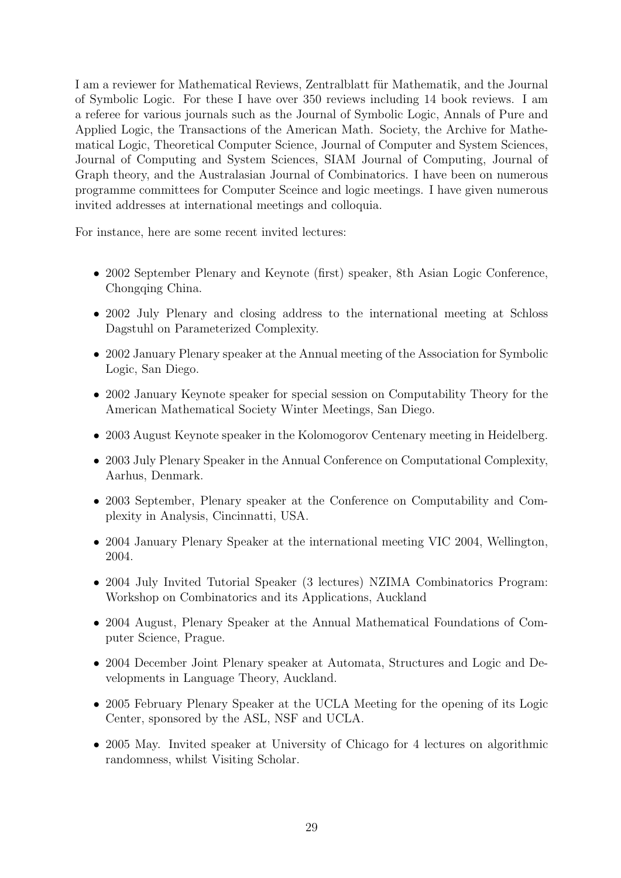I am a reviewer for Mathematical Reviews, Zentralblatt für Mathematik, and the Journal of Symbolic Logic. For these I have over 350 reviews including 14 book reviews. I am a referee for various journals such as the Journal of Symbolic Logic, Annals of Pure and Applied Logic, the Transactions of the American Math. Society, the Archive for Mathematical Logic, Theoretical Computer Science, Journal of Computer and System Sciences, Journal of Computing and System Sciences, SIAM Journal of Computing, Journal of Graph theory, and the Australasian Journal of Combinatorics. I have been on numerous programme committees for Computer Sceince and logic meetings. I have given numerous invited addresses at international meetings and colloquia.

For instance, here are some recent invited lectures:

- 2002 September Plenary and Keynote (first) speaker, 8th Asian Logic Conference, Chongqing China.
- 2002 July Plenary and closing address to the international meeting at Schloss Dagstuhl on Parameterized Complexity.
- 2002 January Plenary speaker at the Annual meeting of the Association for Symbolic Logic, San Diego.
- 2002 January Keynote speaker for special session on Computability Theory for the American Mathematical Society Winter Meetings, San Diego.
- 2003 August Keynote speaker in the Kolomogorov Centenary meeting in Heidelberg.
- 2003 July Plenary Speaker in the Annual Conference on Computational Complexity, Aarhus, Denmark.
- 2003 September, Plenary speaker at the Conference on Computability and Complexity in Analysis, Cincinnatti, USA.
- 2004 January Plenary Speaker at the international meeting VIC 2004, Wellington, 2004.
- 2004 July Invited Tutorial Speaker (3 lectures) NZIMA Combinatorics Program: Workshop on Combinatorics and its Applications, Auckland
- 2004 August, Plenary Speaker at the Annual Mathematical Foundations of Computer Science, Prague.
- 2004 December Joint Plenary speaker at Automata, Structures and Logic and Developments in Language Theory, Auckland.
- 2005 February Plenary Speaker at the UCLA Meeting for the opening of its Logic Center, sponsored by the ASL, NSF and UCLA.
- 2005 May. Invited speaker at University of Chicago for 4 lectures on algorithmic randomness, whilst Visiting Scholar.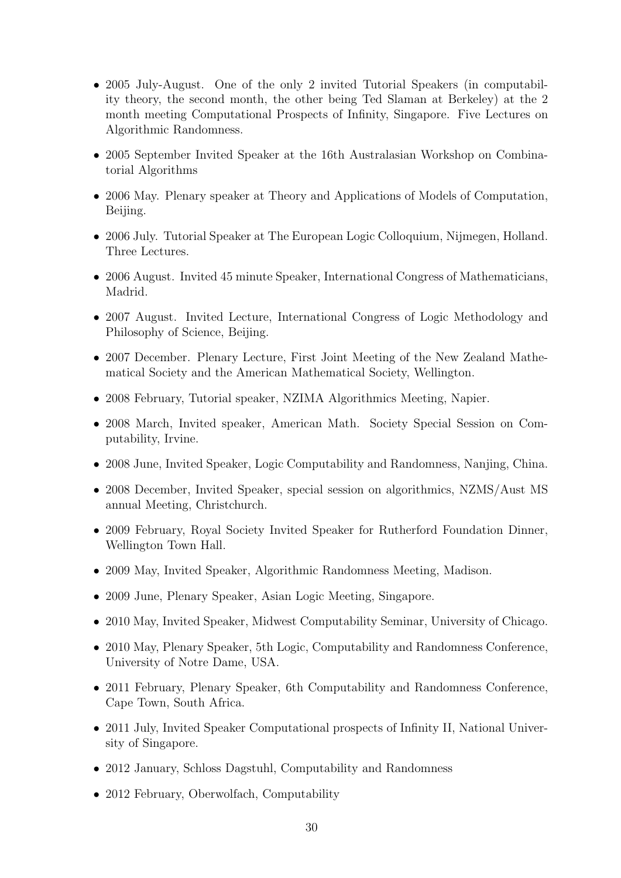- 2005 July-August. One of the only 2 invited Tutorial Speakers (in computability theory, the second month, the other being Ted Slaman at Berkeley) at the 2 month meeting Computational Prospects of Infinity, Singapore. Five Lectures on Algorithmic Randomness.
- 2005 September Invited Speaker at the 16th Australasian Workshop on Combinatorial Algorithms
- 2006 May. Plenary speaker at Theory and Applications of Models of Computation, Beijing.
- 2006 July. Tutorial Speaker at The European Logic Colloquium, Nijmegen, Holland. Three Lectures.
- 2006 August. Invited 45 minute Speaker, International Congress of Mathematicians, Madrid.
- 2007 August. Invited Lecture, International Congress of Logic Methodology and Philosophy of Science, Beijing.
- 2007 December. Plenary Lecture, First Joint Meeting of the New Zealand Mathematical Society and the American Mathematical Society, Wellington.
- 2008 February, Tutorial speaker, NZIMA Algorithmics Meeting, Napier.
- 2008 March, Invited speaker, American Math. Society Special Session on Computability, Irvine.
- 2008 June, Invited Speaker, Logic Computability and Randomness, Nanjing, China.
- 2008 December, Invited Speaker, special session on algorithmics, NZMS/Aust MS annual Meeting, Christchurch.
- 2009 February, Royal Society Invited Speaker for Rutherford Foundation Dinner, Wellington Town Hall.
- 2009 May, Invited Speaker, Algorithmic Randomness Meeting, Madison.
- 2009 June, Plenary Speaker, Asian Logic Meeting, Singapore.
- 2010 May, Invited Speaker, Midwest Computability Seminar, University of Chicago.
- 2010 May, Plenary Speaker, 5th Logic, Computability and Randomness Conference, University of Notre Dame, USA.
- 2011 February, Plenary Speaker, 6th Computability and Randomness Conference, Cape Town, South Africa.
- 2011 July, Invited Speaker Computational prospects of Infinity II, National University of Singapore.
- 2012 January, Schloss Dagstuhl, Computability and Randomness
- 2012 February, Oberwolfach, Computability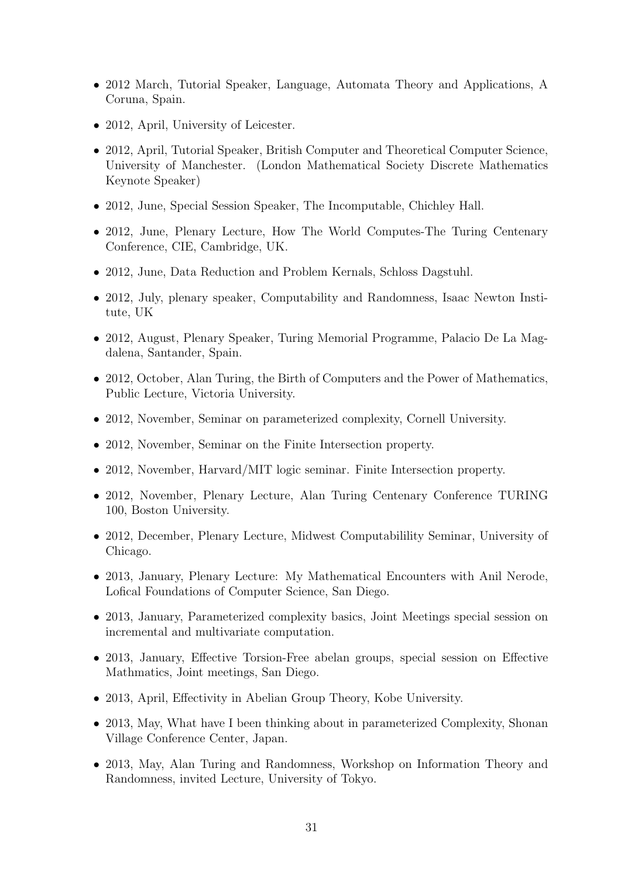- 2012 March, Tutorial Speaker, Language, Automata Theory and Applications, A Coruna, Spain.
- 2012, April, University of Leicester.
- 2012, April, Tutorial Speaker, British Computer and Theoretical Computer Science, University of Manchester. (London Mathematical Society Discrete Mathematics Keynote Speaker)
- 2012, June, Special Session Speaker, The Incomputable, Chichley Hall.
- 2012, June, Plenary Lecture, How The World Computes-The Turing Centenary Conference, CIE, Cambridge, UK.
- 2012, June, Data Reduction and Problem Kernals, Schloss Dagstuhl.
- 2012, July, plenary speaker, Computability and Randomness, Isaac Newton Institute, UK
- 2012, August, Plenary Speaker, Turing Memorial Programme, Palacio De La Magdalena, Santander, Spain.
- 2012, October, Alan Turing, the Birth of Computers and the Power of Mathematics, Public Lecture, Victoria University.
- 2012, November, Seminar on parameterized complexity, Cornell University.
- 2012, November, Seminar on the Finite Intersection property.
- 2012, November, Harvard/MIT logic seminar. Finite Intersection property.
- 2012, November, Plenary Lecture, Alan Turing Centenary Conference TURING 100, Boston University.
- 2012, December, Plenary Lecture, Midwest Computabilility Seminar, University of Chicago.
- 2013, January, Plenary Lecture: My Mathematical Encounters with Anil Nerode, Lofical Foundations of Computer Science, San Diego.
- 2013, January, Parameterized complexity basics, Joint Meetings special session on incremental and multivariate computation.
- 2013, January, Effective Torsion-Free abelan groups, special session on Effective Mathmatics, Joint meetings, San Diego.
- 2013, April, Effectivity in Abelian Group Theory, Kobe University.
- 2013, May, What have I been thinking about in parameterized Complexity, Shonan Village Conference Center, Japan.
- 2013, May, Alan Turing and Randomness, Workshop on Information Theory and Randomness, invited Lecture, University of Tokyo.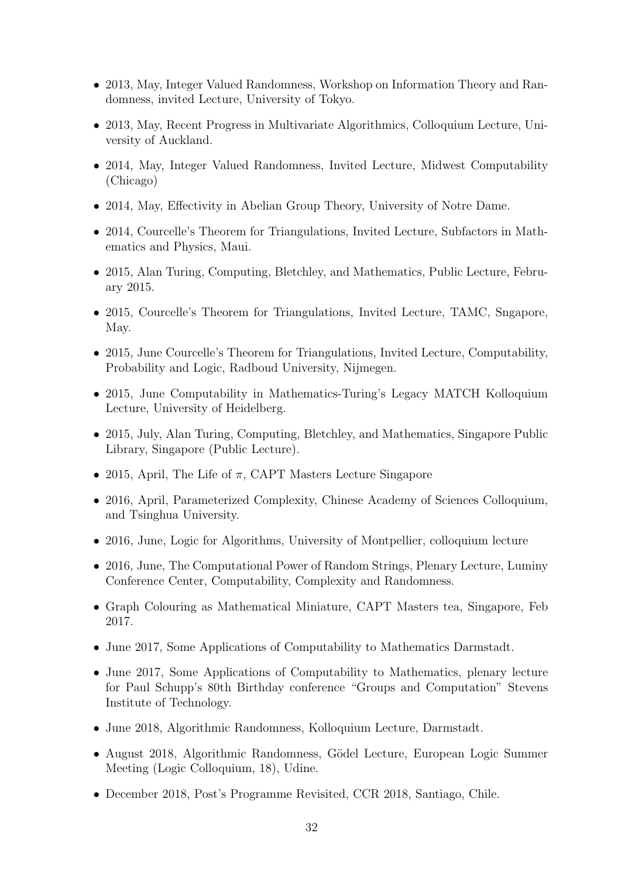- 2013, May, Integer Valued Randomness, Workshop on Information Theory and Randomness, invited Lecture, University of Tokyo.
- 2013, May, Recent Progress in Multivariate Algorithmics, Colloquium Lecture, University of Auckland.
- 2014, May, Integer Valued Randomness, Invited Lecture, Midwest Computability (Chicago)
- 2014, May, Effectivity in Abelian Group Theory, University of Notre Dame.
- 2014, Courcelle's Theorem for Triangulations, Invited Lecture, Subfactors in Mathematics and Physics, Maui.
- 2015, Alan Turing, Computing, Bletchley, and Mathematics, Public Lecture, February 2015.
- 2015, Courcelle's Theorem for Triangulations, Invited Lecture, TAMC, Sngapore, May.
- 2015, June Courcelle's Theorem for Triangulations, Invited Lecture, Computability, Probability and Logic, Radboud University, Nijmegen.
- 2015, June Computability in Mathematics-Turing's Legacy MATCH Kolloquium Lecture, University of Heidelberg.
- 2015, July, Alan Turing, Computing, Bletchley, and Mathematics, Singapore Public Library, Singapore (Public Lecture).
- 2015, April, The Life of  $\pi$ , CAPT Masters Lecture Singapore
- 2016, April, Parameterized Complexity, Chinese Academy of Sciences Colloquium, and Tsinghua University.
- 2016, June, Logic for Algorithms, University of Montpellier, colloquium lecture
- 2016, June, The Computational Power of Random Strings, Plenary Lecture, Luminy Conference Center, Computability, Complexity and Randomness.
- Graph Colouring as Mathematical Miniature, CAPT Masters tea, Singapore, Feb 2017.
- June 2017, Some Applications of Computability to Mathematics Darmstadt.
- June 2017, Some Applications of Computability to Mathematics, plenary lecture for Paul Schupp's 80th Birthday conference "Groups and Computation" Stevens Institute of Technology.
- June 2018, Algorithmic Randomness, Kolloquium Lecture, Darmstadt.
- August 2018, Algorithmic Randomness, Gödel Lecture, European Logic Summer Meeting (Logic Colloquium, 18), Udine.
- December 2018, Post's Programme Revisited, CCR 2018, Santiago, Chile.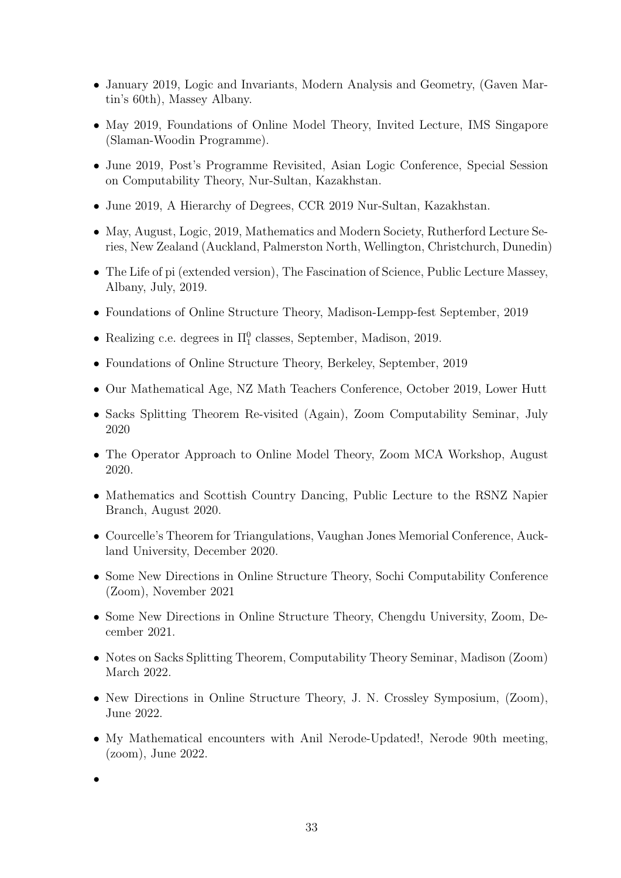- January 2019, Logic and Invariants, Modern Analysis and Geometry, (Gaven Martin's 60th), Massey Albany.
- May 2019, Foundations of Online Model Theory, Invited Lecture, IMS Singapore (Slaman-Woodin Programme).
- June 2019, Post's Programme Revisited, Asian Logic Conference, Special Session on Computability Theory, Nur-Sultan, Kazakhstan.
- June 2019, A Hierarchy of Degrees, CCR 2019 Nur-Sultan, Kazakhstan.
- May, August, Logic, 2019, Mathematics and Modern Society, Rutherford Lecture Series, New Zealand (Auckland, Palmerston North, Wellington, Christchurch, Dunedin)
- The Life of pi (extended version), The Fascination of Science, Public Lecture Massey, Albany, July, 2019.
- Foundations of Online Structure Theory, Madison-Lempp-fest September, 2019
- Realizing c.e. degrees in  $\Pi_1^0$  classes, September, Madison, 2019.
- Foundations of Online Structure Theory, Berkeley, September, 2019
- Our Mathematical Age, NZ Math Teachers Conference, October 2019, Lower Hutt
- Sacks Splitting Theorem Re-visited (Again), Zoom Computability Seminar, July 2020
- The Operator Approach to Online Model Theory, Zoom MCA Workshop, August 2020.
- Mathematics and Scottish Country Dancing, Public Lecture to the RSNZ Napier Branch, August 2020.
- Courcelle's Theorem for Triangulations, Vaughan Jones Memorial Conference, Auckland University, December 2020.
- Some New Directions in Online Structure Theory, Sochi Computability Conference (Zoom), November 2021
- Some New Directions in Online Structure Theory, Chengdu University, Zoom, December 2021.
- Notes on Sacks Splitting Theorem, Computability Theory Seminar, Madison (Zoom) March 2022.
- New Directions in Online Structure Theory, J. N. Crossley Symposium, (Zoom), June 2022.
- My Mathematical encounters with Anil Nerode-Updated!, Nerode 90th meeting, (zoom), June 2022.

•